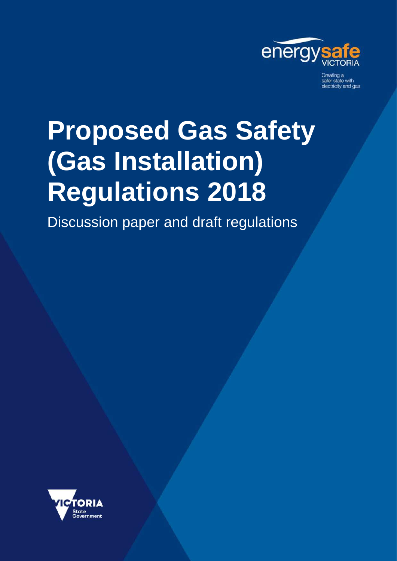

Creating a<br>safer state with electricity and gas

# **Proposed Gas Safety (Gas Installation) Regulations 2018**

Discussion paper and draft regulations

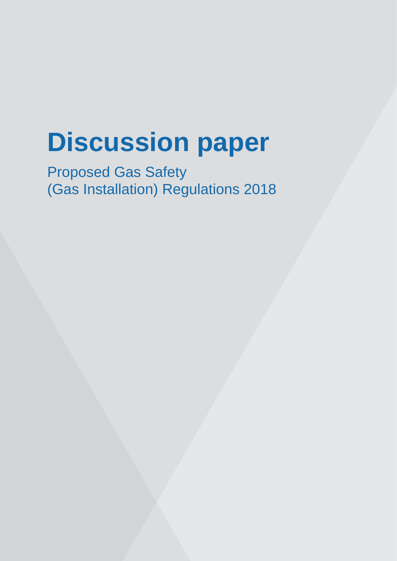# **Discussion paper**

Proposed Gas Safety (Gas Installation) Regulations 2018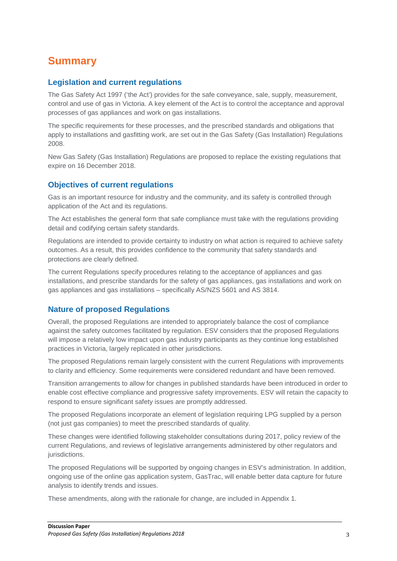# <span id="page-2-0"></span>**Summary**

## **Legislation and current regulations**

The Gas Safety Act 1997 ('the Act') provides for the safe conveyance, sale, supply, measurement, control and use of gas in Victoria. A key element of the Act is to control the acceptance and approval processes of gas appliances and work on gas installations.

The specific requirements for these processes, and the prescribed standards and obligations that apply to installations and gasfitting work, are set out in the Gas Safety (Gas Installation) Regulations 2008.

New Gas Safety (Gas Installation) Regulations are proposed to replace the existing regulations that expire on 16 December 2018.

## **Objectives of current regulations**

Gas is an important resource for industry and the community, and its safety is controlled through application of the Act and its regulations.

The Act establishes the general form that safe compliance must take with the regulations providing detail and codifying certain safety standards.

Regulations are intended to provide certainty to industry on what action is required to achieve safety outcomes. As a result, this provides confidence to the community that safety standards and protections are clearly defined.

The current Regulations specify procedures relating to the acceptance of appliances and gas installations, and prescribe standards for the safety of gas appliances, gas installations and work on gas appliances and gas installations – specifically AS/NZS 5601 and AS 3814.

# **Nature of proposed Regulations**

Overall, the proposed Regulations are intended to appropriately balance the cost of compliance against the safety outcomes facilitated by regulation. ESV considers that the proposed Regulations will impose a relatively low impact upon gas industry participants as they continue long established practices in Victoria, largely replicated in other jurisdictions.

The proposed Regulations remain largely consistent with the current Regulations with improvements to clarity and efficiency. Some requirements were considered redundant and have been removed.

Transition arrangements to allow for changes in published standards have been introduced in order to enable cost effective compliance and progressive safety improvements. ESV will retain the capacity to respond to ensure significant safety issues are promptly addressed.

The proposed Regulations incorporate an element of legislation requiring LPG supplied by a person (not just gas companies) to meet the prescribed standards of quality.

These changes were identified following stakeholder consultations during 2017, policy review of the current Regulations, and reviews of legislative arrangements administered by other regulators and jurisdictions.

The proposed Regulations will be supported by ongoing changes in ESV's administration. In addition, ongoing use of the online gas application system, GasTrac, will enable better data capture for future analysis to identify trends and issues.

These amendments, along with the rationale for change, are included in Appendix 1.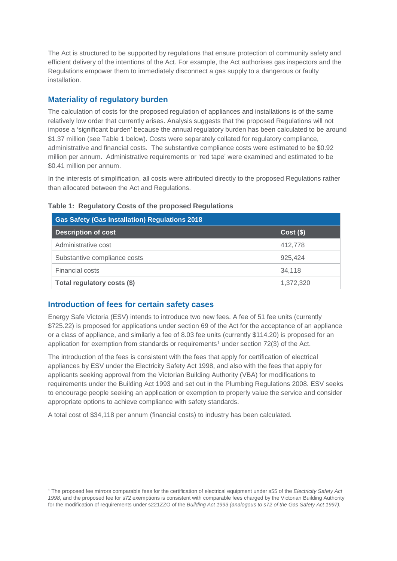The Act is structured to be supported by regulations that ensure protection of community safety and efficient delivery of the intentions of the Act. For example, the Act authorises gas inspectors and the Regulations empower them to immediately disconnect a gas supply to a dangerous or faulty installation.

# **Materiality of regulatory burden**

The calculation of costs for the proposed regulation of appliances and installations is of the same relatively low order that currently arises. Analysis suggests that the proposed Regulations will not impose a 'significant burden' because the annual regulatory burden has been calculated to be around \$1.37 million (see Table 1 below). Costs were separately collated for regulatory compliance, administrative and financial costs. The substantive compliance costs were estimated to be \$0.92 million per annum. Administrative requirements or 'red tape' were examined and estimated to be \$0.41 million per annum.

In the interests of simplification, all costs were attributed directly to the proposed Regulations rather than allocated between the Act and Regulations.

| <b>Gas Safety (Gas Installation) Regulations 2018</b> |           |
|-------------------------------------------------------|-----------|
| <b>Description of cost</b>                            | Cost(S)   |
| Administrative cost                                   | 412,778   |
| Substantive compliance costs                          | 925.424   |
| Financial costs                                       | 34.118    |
| Total regulatory costs (\$)                           | 1,372,320 |

### **Table 1: Regulatory Costs of the proposed Regulations**

# **Introduction of fees for certain safety cases**

j

Energy Safe Victoria (ESV) intends to introduce two new fees. A fee of 51 fee units (currently \$725.22) is proposed for applications under section 69 of the Act for the acceptance of an appliance or a class of appliance, and similarly a fee of 8.03 fee units (currently \$114.20) is proposed for an application for exemption from standards or requirements<sup>[1](#page-3-0)</sup> under section 72(3) of the Act.

The introduction of the fees is consistent with the fees that apply for certification of electrical appliances by ESV under the Electricity Safety Act 1998, and also with the fees that apply for applicants seeking approval from the Victorian Building Authority (VBA) for modifications to requirements under the Building Act 1993 and set out in the Plumbing Regulations 2008. ESV seeks to encourage people seeking an application or exemption to properly value the service and consider appropriate options to achieve compliance with safety standards.

A total cost of \$34,118 per annum (financial costs) to industry has been calculated.

<span id="page-3-0"></span><sup>1</sup> The proposed fee mirrors comparable fees for the certification of electrical equipment under s55 of the *Electricity Safety Act 1998*, and the proposed fee for s72 exemptions is consistent with comparable fees charged by the Victorian Building Authority for the modification of requirements under s221ZZO of the *Building Act 1993 (analogous to s72 of the Gas Safety Act 1997).*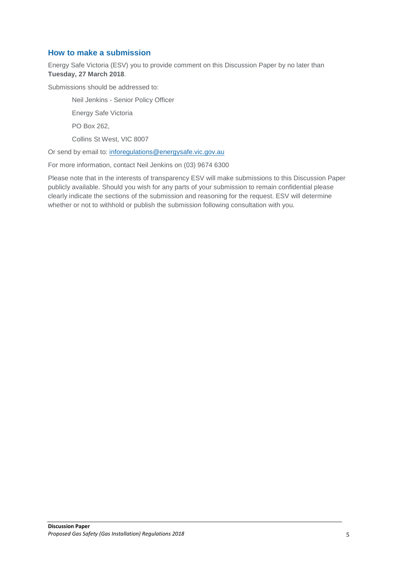# **How to make a submission**

Energy Safe Victoria (ESV) you to provide comment on this Discussion Paper by no later than **Tuesday, 27 March 2018**.

Submissions should be addressed to:

Neil Jenkins - Senior Policy Officer

Energy Safe Victoria

PO Box 262,

Collins St West, VIC 8007

Or send by email to: [inforegulations@energysafe.vic.gov.au](mailto:inforegulations@energysafe.vic.gov.au)

For more information, contact Neil Jenkins on (03) 9674 6300

Please note that in the interests of transparency ESV will make submissions to this Discussion Paper publicly available. Should you wish for any parts of your submission to remain confidential please clearly indicate the sections of the submission and reasoning for the request. ESV will determine whether or not to withhold or publish the submission following consultation with you.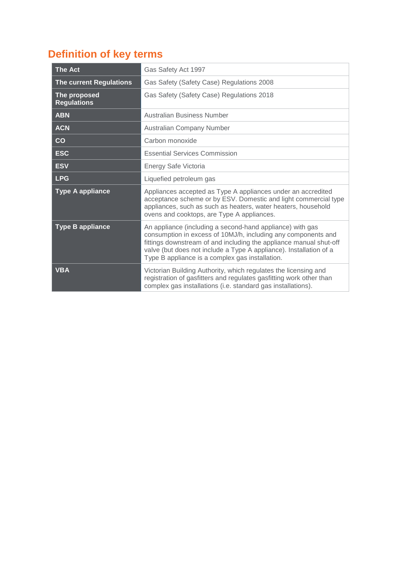# <span id="page-5-0"></span>**Definition of key terms**

| <b>The Act</b>                     | Gas Safety Act 1997                                                                                                                                                                                                                                                                                                       |
|------------------------------------|---------------------------------------------------------------------------------------------------------------------------------------------------------------------------------------------------------------------------------------------------------------------------------------------------------------------------|
| <b>The current Regulations</b>     | Gas Safety (Safety Case) Regulations 2008                                                                                                                                                                                                                                                                                 |
| The proposed<br><b>Regulations</b> | Gas Safety (Safety Case) Regulations 2018                                                                                                                                                                                                                                                                                 |
| <b>ABN</b>                         | Australian Business Number                                                                                                                                                                                                                                                                                                |
| <b>ACN</b>                         | Australian Company Number                                                                                                                                                                                                                                                                                                 |
| CO                                 | Carbon monoxide                                                                                                                                                                                                                                                                                                           |
| <b>ESC</b>                         | <b>Essential Services Commission</b>                                                                                                                                                                                                                                                                                      |
| <b>ESV</b>                         | Energy Safe Victoria                                                                                                                                                                                                                                                                                                      |
| <b>LPG</b>                         | Liquefied petroleum gas                                                                                                                                                                                                                                                                                                   |
| <b>Type A appliance</b>            | Appliances accepted as Type A appliances under an accredited<br>acceptance scheme or by ESV. Domestic and light commercial type<br>appliances, such as such as heaters, water heaters, household<br>ovens and cooktops, are Type A appliances.                                                                            |
| <b>Type B appliance</b>            | An appliance (including a second-hand appliance) with gas<br>consumption in excess of 10MJ/h, including any components and<br>fittings downstream of and including the appliance manual shut-off<br>valve (but does not include a Type A appliance). Installation of a<br>Type B appliance is a complex gas installation. |
| <b>VBA</b>                         | Victorian Building Authority, which regulates the licensing and<br>registration of gasfitters and regulates gasfitting work other than<br>complex gas installations (i.e. standard gas installations).                                                                                                                    |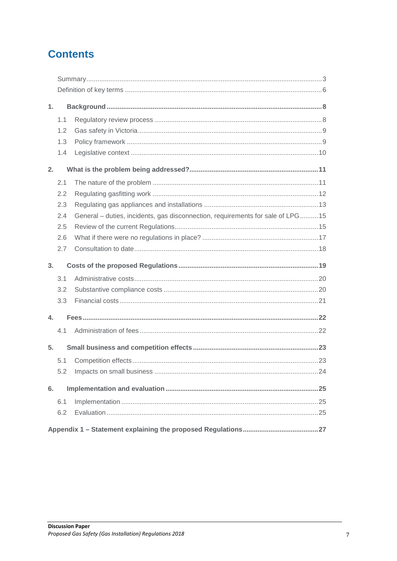# **Contents**

| 1.  |                                                                                |  |
|-----|--------------------------------------------------------------------------------|--|
| 1.1 |                                                                                |  |
| 1.2 |                                                                                |  |
| 1.3 |                                                                                |  |
| 1.4 |                                                                                |  |
| 2.  |                                                                                |  |
| 2.1 |                                                                                |  |
| 2.2 |                                                                                |  |
| 2.3 |                                                                                |  |
| 2.4 | General – duties, incidents, gas disconnection, requirements for sale of LPG15 |  |
| 2.5 |                                                                                |  |
| 2.6 |                                                                                |  |
| 2.7 |                                                                                |  |
| 3.  |                                                                                |  |
| 3.1 |                                                                                |  |
| 3.2 |                                                                                |  |
| 3.3 |                                                                                |  |
|     |                                                                                |  |
| 4.  |                                                                                |  |
| 4.1 |                                                                                |  |
| 5.  |                                                                                |  |
| 5.1 |                                                                                |  |
| 5.2 |                                                                                |  |
| 6.  |                                                                                |  |
| 6.1 |                                                                                |  |
| 6.2 |                                                                                |  |
|     |                                                                                |  |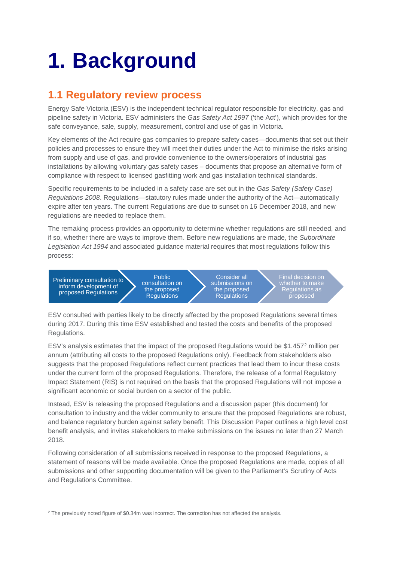# <span id="page-7-0"></span>**1. Background**

# <span id="page-7-1"></span>**1.1 Regulatory review process**

Energy Safe Victoria (ESV) is the independent technical regulator responsible for electricity, gas and pipeline safety in Victoria. ESV administers the *Gas Safety Act 1997* ('the Act'), which provides for the safe conveyance, sale, supply, measurement, control and use of gas in Victoria.

Key elements of the Act require gas companies to prepare safety cases—documents that set out their policies and processes to ensure they will meet their duties under the Act to minimise the risks arising from supply and use of gas, and provide convenience to the owners/operators of industrial gas installations by allowing voluntary gas safety cases – documents that propose an alternative form of compliance with respect to licensed gasfitting work and gas installation technical standards.

Specific requirements to be included in a safety case are set out in the *Gas Safety (Safety Case) Regulations 2008*. Regulations—statutory rules made under the authority of the Act—automatically expire after ten years. The current Regulations are due to sunset on 16 December 2018, and new regulations are needed to replace them.

The remaking process provides an opportunity to determine whether regulations are still needed, and if so, whether there are ways to improve them. Before new regulations are made, the *Subordinate Legislation Act 1994* and associated guidance material requires that most regulations follow this process:

Preliminary consultation to inform development of proposed Regulations

Public consultation on the proposed Regulations

Consider all submissions on the proposed **Regulations** 

Final decision on whether to make Regulations as proposed

ESV consulted with parties likely to be directly affected by the proposed Regulations several times during 2017. During this time ESV established and tested the costs and benefits of the proposed Regulations.

ESV's analysis estimates that the impact of the proposed Regulations would be \$1.457[2](#page-7-2) million per annum (attributing all costs to the proposed Regulations only). Feedback from stakeholders also suggests that the proposed Regulations reflect current practices that lead them to incur these costs under the current form of the proposed Regulations. Therefore, the release of a formal Regulatory Impact Statement (RIS) is not required on the basis that the proposed Regulations will not impose a significant economic or social burden on a sector of the public.

Instead, ESV is releasing the proposed Regulations and a discussion paper (this document) for consultation to industry and the wider community to ensure that the proposed Regulations are robust, and balance regulatory burden against safety benefit. This Discussion Paper outlines a high level cost benefit analysis, and invites stakeholders to make submissions on the issues no later than 27 March 2018.

Following consideration of all submissions received in response to the proposed Regulations, a statement of reasons will be made available. Once the proposed Regulations are made, copies of all submissions and other supporting documentation will be given to the Parliament's Scrutiny of Acts and Regulations Committee.

<span id="page-7-2"></span><sup>&</sup>lt;sup>2</sup> The previously noted figure of \$0.34m was incorrect. The correction has not affected the analysis.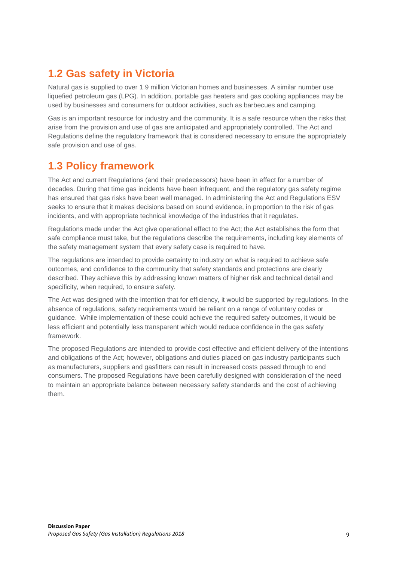# <span id="page-8-0"></span>**1.2 Gas safety in Victoria**

Natural gas is supplied to over 1.9 million Victorian homes and businesses. A similar number use liquefied petroleum gas (LPG). In addition, portable gas heaters and gas cooking appliances may be used by businesses and consumers for outdoor activities, such as barbecues and camping.

Gas is an important resource for industry and the community. It is a safe resource when the risks that arise from the provision and use of gas are anticipated and appropriately controlled. The Act and Regulations define the regulatory framework that is considered necessary to ensure the appropriately safe provision and use of gas.

# <span id="page-8-1"></span>**1.3 Policy framework**

The Act and current Regulations (and their predecessors) have been in effect for a number of decades. During that time gas incidents have been infrequent, and the regulatory gas safety regime has ensured that gas risks have been well managed. In administering the Act and Regulations ESV seeks to ensure that it makes decisions based on sound evidence, in proportion to the risk of gas incidents, and with appropriate technical knowledge of the industries that it regulates.

Regulations made under the Act give operational effect to the Act; the Act establishes the form that safe compliance must take, but the regulations describe the requirements, including key elements of the safety management system that every safety case is required to have.

The regulations are intended to provide certainty to industry on what is required to achieve safe outcomes, and confidence to the community that safety standards and protections are clearly described. They achieve this by addressing known matters of higher risk and technical detail and specificity, when required, to ensure safety.

The Act was designed with the intention that for efficiency, it would be supported by regulations. In the absence of regulations, safety requirements would be reliant on a range of voluntary codes or guidance. While implementation of these could achieve the required safety outcomes, it would be less efficient and potentially less transparent which would reduce confidence in the gas safety framework.

The proposed Regulations are intended to provide cost effective and efficient delivery of the intentions and obligations of the Act; however, obligations and duties placed on gas industry participants such as manufacturers, suppliers and gasfitters can result in increased costs passed through to end consumers. The proposed Regulations have been carefully designed with consideration of the need to maintain an appropriate balance between necessary safety standards and the cost of achieving them.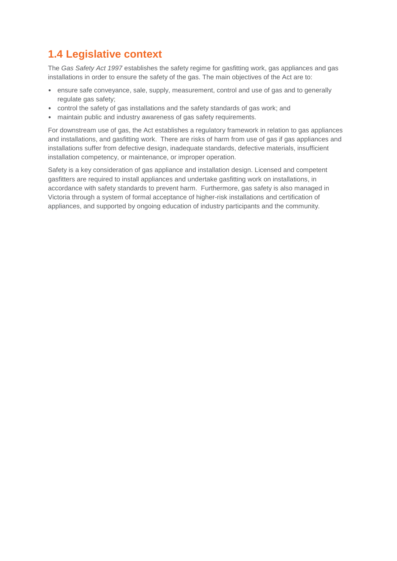# <span id="page-9-0"></span>**1.4 Legislative context**

The *Gas Safety Act 1997* establishes the safety regime for gasfitting work, gas appliances and gas installations in order to ensure the safety of the gas. The main objectives of the Act are to:

- ensure safe conveyance, sale, supply, measurement, control and use of gas and to generally regulate gas safety;
- control the safety of gas installations and the safety standards of gas work; and
- maintain public and industry awareness of gas safety requirements.

For downstream use of gas, the Act establishes a regulatory framework in relation to gas appliances and installations, and gasfitting work. There are risks of harm from use of gas if gas appliances and installations suffer from defective design, inadequate standards, defective materials, insufficient installation competency, or maintenance, or improper operation.

Safety is a key consideration of gas appliance and installation design. Licensed and competent gasfitters are required to install appliances and undertake gasfitting work on installations, in accordance with safety standards to prevent harm. Furthermore, gas safety is also managed in Victoria through a system of formal acceptance of higher-risk installations and certification of appliances, and supported by ongoing education of industry participants and the community.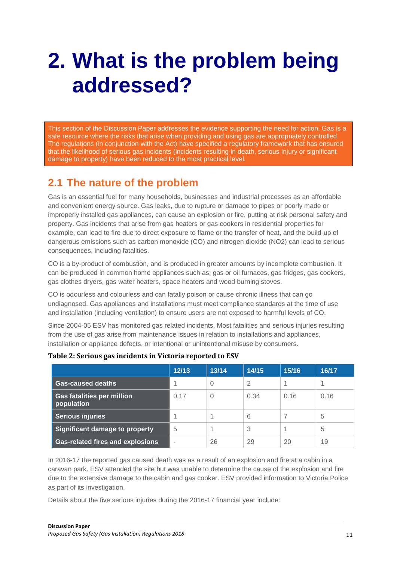# <span id="page-10-0"></span>**2. What is the problem being addressed?**

This section of the Discussion Paper addresses the evidence supporting the need for action. Gas is a safe resource where the risks that arise when providing and using gas are appropriately controlled. The regulations (in conjunction with the Act) have specified a regulatory framework that has ensured that the likelihood of serious gas incidents (incidents resulting in death, serious injury or significant damage to property) have been reduced to the most practical level.

# <span id="page-10-1"></span>**2.1 The nature of the problem**

Gas is an essential fuel for many households, businesses and industrial processes as an affordable and convenient energy source. Gas leaks, due to rupture or damage to pipes or poorly made or improperly installed gas appliances, can cause an explosion or fire, putting at risk personal safety and property. Gas incidents that arise from gas heaters or gas cookers in residential properties for example, can lead to fire due to direct exposure to flame or the transfer of heat, and the build-up of dangerous emissions such as carbon monoxide (CO) and nitrogen dioxide (NO2) can lead to serious consequences, including fatalities.

CO is a by-product of combustion, and is produced in greater amounts by incomplete combustion. It can be produced in common home appliances such as; gas or oil furnaces, gas fridges, gas cookers, gas clothes dryers, gas water heaters, space heaters and wood burning stoves.

CO is odourless and colourless and can fatally poison or cause chronic illness that can go undiagnosed. Gas appliances and installations must meet compliance standards at the time of use and installation (including ventilation) to ensure users are not exposed to harmful levels of CO.

Since 2004-05 ESV has monitored gas related incidents. Most fatalities and serious injuries resulting from the use of gas arise from maintenance issues in relation to installations and appliances, installation or appliance defects, or intentional or unintentional misuse by consumers.

|                                                 | 12/13 | 13/14    | 14/15 | 15/16 | 16/17 |
|-------------------------------------------------|-------|----------|-------|-------|-------|
| <b>Gas-caused deaths</b>                        | 4     | $\Omega$ | 2     |       |       |
| <b>Gas fatalities per million</b><br>population | 0.17  | $\Omega$ | 0.34  | 0.16  | 0.16  |
| <b>Serious injuries</b>                         |       |          | 6     |       | 5     |
| Significant damage to property                  | 5     |          | 3     |       | 5     |
| <b>Gas-related fires and explosions</b>         |       | 26       | 29    | 20    | 19    |

## **Table 2: Serious gas incidents in Victoria reported to ESV**

In 2016-17 the reported gas caused death was as a result of an explosion and fire at a cabin in a caravan park. ESV attended the site but was unable to determine the cause of the explosion and fire due to the extensive damage to the cabin and gas cooker. ESV provided information to Victoria Police as part of its investigation.

Details about the five serious injuries during the 2016-17 financial year include: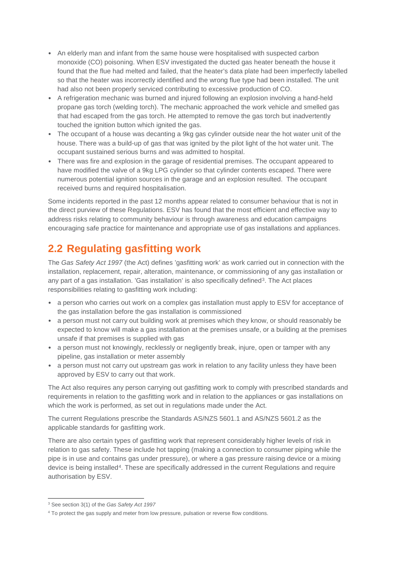- An elderly man and infant from the same house were hospitalised with suspected carbon monoxide (CO) poisoning. When ESV investigated the ducted gas heater beneath the house it found that the flue had melted and failed, that the heater's data plate had been imperfectly labelled so that the heater was incorrectly identified and the wrong flue type had been installed. The unit had also not been properly serviced contributing to excessive production of CO.
- A refrigeration mechanic was burned and injured following an explosion involving a hand-held propane gas torch (welding torch). The mechanic approached the work vehicle and smelled gas that had escaped from the gas torch. He attempted to remove the gas torch but inadvertently touched the ignition button which ignited the gas.
- The occupant of a house was decanting a 9kg gas cylinder outside near the hot water unit of the house. There was a build-up of gas that was ignited by the pilot light of the hot water unit. The occupant sustained serious burns and was admitted to hospital.
- There was fire and explosion in the garage of residential premises. The occupant appeared to have modified the valve of a 9kg LPG cylinder so that cylinder contents escaped. There were numerous potential ignition sources in the garage and an explosion resulted. The occupant received burns and required hospitalisation.

Some incidents reported in the past 12 months appear related to consumer behaviour that is not in the direct purview of these Regulations. ESV has found that the most efficient and effective way to address risks relating to community behaviour is through awareness and education campaigns encouraging safe practice for maintenance and appropriate use of gas installations and appliances.

# <span id="page-11-0"></span>**2.2 Regulating gasfitting work**

The *Gas Safety Act 1997* (the Act) defines 'gasfitting work' as work carried out in connection with the installation, replacement, repair, alteration, maintenance, or commissioning of any gas installation or any part of a gas installation. 'Gas installation' is also specifically defined<sup>3</sup>. The Act places responsibilities relating to gasfitting work including:

- a person who carries out work on a complex gas installation must apply to ESV for acceptance of the gas installation before the gas installation is commissioned
- a person must not carry out building work at premises which they know, or should reasonably be expected to know will make a gas installation at the premises unsafe, or a building at the premises unsafe if that premises is supplied with gas
- a person must not knowingly, recklessly or negligently break, injure, open or tamper with any pipeline, gas installation or meter assembly
- a person must not carry out upstream gas work in relation to any facility unless they have been approved by ESV to carry out that work.

The Act also requires any person carrying out gasfitting work to comply with prescribed standards and requirements in relation to the gasfitting work and in relation to the appliances or gas installations on which the work is performed, as set out in regulations made under the Act.

The current Regulations prescribe the Standards AS/NZS 5601.1 and AS/NZS 5601.2 as the applicable standards for gasfitting work.

There are also certain types of gasfitting work that represent considerably higher levels of risk in relation to gas safety. These include hot tapping (making a connection to consumer piping while the pipe is in use and contains gas under pressure), or where a gas pressure raising device or a mixing device is being installed[4.](#page-11-2) These are specifically addressed in the current Regulations and require authorisation by ESV.

<span id="page-11-1"></span><sup>3</sup> See section 3(1) of the *Gas Safety Act 1997*

<span id="page-11-2"></span><sup>&</sup>lt;sup>4</sup> To protect the gas supply and meter from low pressure, pulsation or reverse flow conditions.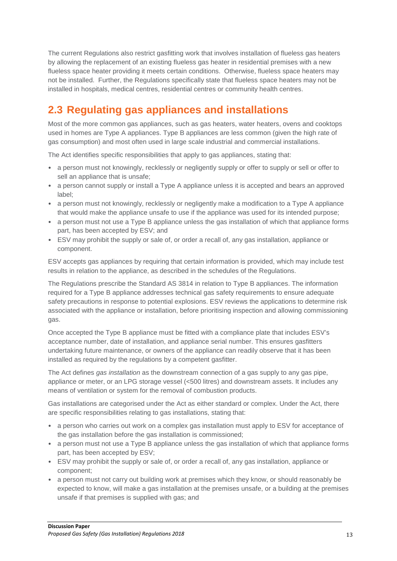The current Regulations also restrict gasfitting work that involves installation of flueless gas heaters by allowing the replacement of an existing flueless gas heater in residential premises with a new flueless space heater providing it meets certain conditions. Otherwise, flueless space heaters may not be installed. Further, the Regulations specifically state that flueless space heaters may not be installed in hospitals, medical centres, residential centres or community health centres.

# <span id="page-12-0"></span>**2.3 Regulating gas appliances and installations**

Most of the more common gas appliances, such as gas heaters, water heaters, ovens and cooktops used in homes are Type A appliances. Type B appliances are less common (given the high rate of gas consumption) and most often used in large scale industrial and commercial installations.

The Act identifies specific responsibilities that apply to gas appliances, stating that:

- a person must not knowingly, recklessly or negligently supply or offer to supply or sell or offer to sell an appliance that is unsafe;
- a person cannot supply or install a Type A appliance unless it is accepted and bears an approved label;
- a person must not knowingly, recklessly or negligently make a modification to a Type A appliance that would make the appliance unsafe to use if the appliance was used for its intended purpose;
- a person must not use a Type B appliance unless the gas installation of which that appliance forms part, has been accepted by ESV; and
- ESV may prohibit the supply or sale of, or order a recall of, any gas installation, appliance or component.

ESV accepts gas appliances by requiring that certain information is provided, which may include test results in relation to the appliance, as described in the schedules of the Regulations.

The Regulations prescribe the Standard AS 3814 in relation to Type B appliances. The information required for a Type B appliance addresses technical gas safety requirements to ensure adequate safety precautions in response to potential explosions. ESV reviews the applications to determine risk associated with the appliance or installation, before prioritising inspection and allowing commissioning gas.

Once accepted the Type B appliance must be fitted with a compliance plate that includes ESV's acceptance number, date of installation, and appliance serial number. This ensures gasfitters undertaking future maintenance, or owners of the appliance can readily observe that it has been installed as required by the regulations by a competent gasfitter.

The Act defines *gas installation* as the downstream connection of a gas supply to any gas pipe, appliance or meter, or an LPG storage vessel (<500 litres) and downstream assets. It includes any means of ventilation or system for the removal of combustion products.

Gas installations are categorised under the Act as either standard or complex. Under the Act, there are specific responsibilities relating to gas installations, stating that:

- a person who carries out work on a complex gas installation must apply to ESV for acceptance of the gas installation before the gas installation is commissioned;
- a person must not use a Type B appliance unless the gas installation of which that appliance forms part, has been accepted by ESV;
- ESV may prohibit the supply or sale of, or order a recall of, any gas installation, appliance or component;
- a person must not carry out building work at premises which they know, or should reasonably be expected to know, will make a gas installation at the premises unsafe, or a building at the premises unsafe if that premises is supplied with gas; and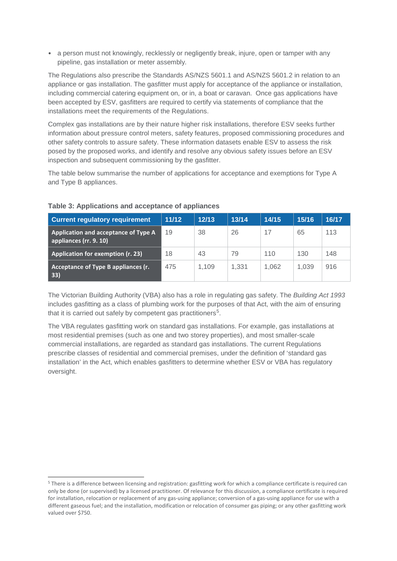• a person must not knowingly, recklessly or negligently break, injure, open or tamper with any pipeline, gas installation or meter assembly.

The Regulations also prescribe the Standards AS/NZS 5601.1 and AS/NZS 5601.2 in relation to an appliance or gas installation. The gasfitter must apply for acceptance of the appliance or installation, including commercial catering equipment on, or in, a boat or caravan. Once gas applications have been accepted by ESV, gasfitters are required to certify via statements of compliance that the installations meet the requirements of the Regulations.

Complex gas installations are by their nature higher risk installations, therefore ESV seeks further information about pressure control meters, safety features, proposed commissioning procedures and other safety controls to assure safety. These information datasets enable ESV to assess the risk posed by the proposed works, and identify and resolve any obvious safety issues before an ESV inspection and subsequent commissioning by the gasfitter.

The table below summarise the number of applications for acceptance and exemptions for Type A and Type B appliances.

| <b>Current regulatory requirement</b>                          | 11/12 | 12/13 | 13/14 | 14/15 | 15/16 | 16/17 |
|----------------------------------------------------------------|-------|-------|-------|-------|-------|-------|
| Application and acceptance of Type A<br>appliances (rr. 9. 10) | 19    | 38    | 26    | 17    | 65    | 113   |
| <b>Application for exemption (r. 23)</b>                       | 18    | 43    | 79    | 110   | 130   | 148   |
| Acceptance of Type B appliances (r.<br>33)                     | 475   | 1.109 | 1.331 | 1.062 | 1.039 | 916   |

#### **Table 3: Applications and acceptance of appliances**

The Victorian Building Authority (VBA) also has a role in regulating gas safety. The *Building Act 1993* includes gasfitting as a class of plumbing work for the purposes of that Act, with the aim of ensuring that it is carried out safely by competent gas practitioners<sup>[5](#page-13-0)</sup>.

The VBA regulates gasfitting work on standard gas installations. For example, gas installations at most residential premises (such as one and two storey properties), and most smaller-scale commercial installations, are regarded as standard gas installations. The current Regulations prescribe classes of residential and commercial premises, under the definition of 'standard gas installation' in the Act, which enables gasfitters to determine whether ESV or VBA has regulatory oversight.

<span id="page-13-0"></span><sup>5</sup> There is a difference between licensing and registration: gasfitting work for which a compliance certificate is required can only be done (or supervised) by a licensed practitioner. Of relevance for this discussion, a compliance certificate is required for installation, relocation or replacement of any gas-using appliance; conversion of a gas-using appliance for use with a different gaseous fuel; and the installation, modification or relocation of consumer gas piping; or any other gasfitting work valued over \$750.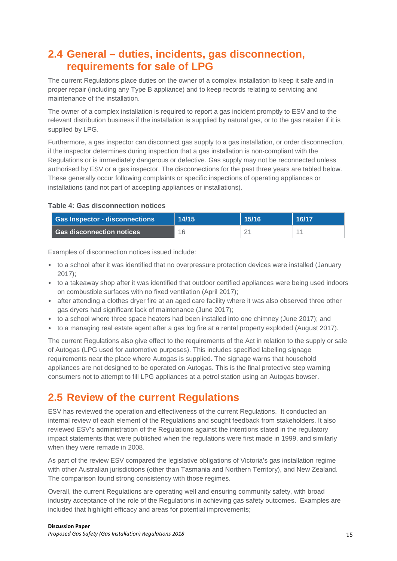# <span id="page-14-0"></span>**2.4 General – duties, incidents, gas disconnection, requirements for sale of LPG**

The current Regulations place duties on the owner of a complex installation to keep it safe and in proper repair (including any Type B appliance) and to keep records relating to servicing and maintenance of the installation.

The owner of a complex installation is required to report a gas incident promptly to ESV and to the relevant distribution business if the installation is supplied by natural gas, or to the gas retailer if it is supplied by LPG.

Furthermore, a gas inspector can disconnect gas supply to a gas installation, or order disconnection, if the inspector determines during inspection that a gas installation is non-compliant with the Regulations or is immediately dangerous or defective. Gas supply may not be reconnected unless authorised by ESV or a gas inspector. The disconnections for the past three years are tabled below. These generally occur following complaints or specific inspections of operating appliances or installations (and not part of accepting appliances or installations).

## **Table 4: Gas disconnection notices**

| <b>Gas Inspector - disconnections</b> | 14/15 | 15/16 | 16/17 |
|---------------------------------------|-------|-------|-------|
| l Gas disconnection notices           | 16    |       |       |

Examples of disconnection notices issued include:

- to a school after it was identified that no overpressure protection devices were installed (January 2017);
- to a takeaway shop after it was identified that outdoor certified appliances were being used indoors on combustible surfaces with no fixed ventilation (April 2017);
- after attending a clothes dryer fire at an aged care facility where it was also observed three other gas dryers had significant lack of maintenance (June 2017);
- to a school where three space heaters had been installed into one chimney (June 2017); and
- to a managing real estate agent after a gas log fire at a rental property exploded (August 2017).

The current Regulations also give effect to the requirements of the Act in relation to the supply or sale of Autogas (LPG used for automotive purposes). This includes specified labelling signage requirements near the place where Autogas is supplied. The signage warns that household appliances are not designed to be operated on Autogas. This is the final protective step warning consumers not to attempt to fill LPG appliances at a petrol station using an Autogas bowser.

# <span id="page-14-1"></span>**2.5 Review of the current Regulations**

ESV has reviewed the operation and effectiveness of the current Regulations. It conducted an internal review of each element of the Regulations and sought feedback from stakeholders. It also reviewed ESV's administration of the Regulations against the intentions stated in the regulatory impact statements that were published when the regulations were first made in 1999, and similarly when they were remade in 2008.

As part of the review ESV compared the legislative obligations of Victoria's gas installation regime with other Australian jurisdictions (other than Tasmania and Northern Territory), and New Zealand. The comparison found strong consistency with those regimes.

Overall, the current Regulations are operating well and ensuring community safety, with broad industry acceptance of the role of the Regulations in achieving gas safety outcomes. Examples are included that highlight efficacy and areas for potential improvements;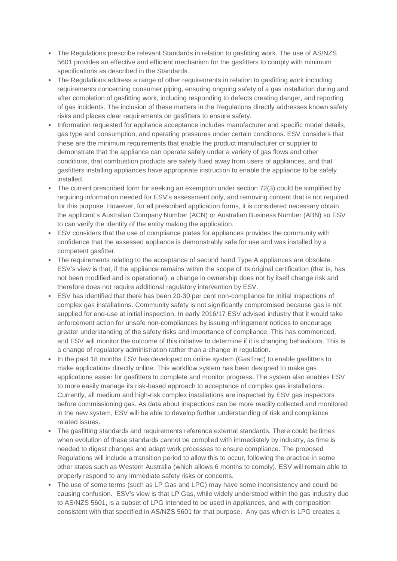- The Regulations prescribe relevant Standards in relation to gasfitting work. The use of AS/NZS 5601 provides an effective and efficient mechanism for the gasfitters to comply with minimum specifications as described in the Standards.
- The Regulations address a range of other requirements in relation to gasfitting work including requirements concerning consumer piping, ensuring ongoing safety of a gas installation during and after completion of gasfitting work, including responding to defects creating danger, and reporting of gas incidents. The inclusion of these matters in the Regulations directly addresses known safety risks and places clear requirements on gasfitters to ensure safety.
- Information requested for appliance acceptance includes manufacturer and specific model details, gas type and consumption, and operating pressures under certain conditions. ESV considers that these are the minimum requirements that enable the product manufacturer or supplier to demonstrate that the appliance can operate safely under a variety of gas flows and other conditions, that combustion products are safely flued away from users of appliances, and that gasfitters installing appliances have appropriate instruction to enable the appliance to be safely installed.
- The current prescribed form for seeking an exemption under section 72(3) could be simplified by requiring information needed for ESV's assessment only, and removing content that is not required for this purpose. However, for all prescribed application forms, it is considered necessary obtain the applicant's Australian Company Number (ACN) or Australian Business Number (ABN) so ESV to can verify the identity of the entity making the application.
- ESV considers that the use of compliance plates for appliances provides the community with confidence that the assessed appliance is demonstrably safe for use and was installed by a competent gasfitter.
- The requirements relating to the acceptance of second hand Type A appliances are obsolete. ESV's view is that, if the appliance remains within the scope of its original certification (that is, has not been modified and is operational), a change in ownership does not by itself change risk and therefore does not require additional regulatory intervention by ESV.
- ESV has identified that there has been 20-30 per cent non-compliance for initial inspections of complex gas installations. Community safety is not significantly compromised because gas is not supplied for end-use at initial inspection. In early 2016/17 ESV advised industry that it would take enforcement action for unsafe non-compliances by issuing infringement notices to encourage greater understanding of the safety risks and importance of compliance. This has commenced, and ESV will monitor the outcome of this initiative to determine if it is changing behaviours. This is a change of regulatory administration rather than a change in regulation.
- In the past 18 months ESV has developed on online system (GasTrac) to enable gasfitters to make applications directly online. This workflow system has been designed to make gas applications easier for gasfitters to complete and monitor progress. The system also enables ESV to more easily manage its risk-based approach to acceptance of complex gas installations. Currently, all medium and high-risk complex installations are inspected by ESV gas inspectors before commissioning gas. As data about inspections can be more readily collected and monitored in the new system, ESV will be able to develop further understanding of risk and compliance related issues.
- The gasfitting standards and requirements reference external standards. There could be times when evolution of these standards cannot be complied with immediately by industry, as time is needed to digest changes and adapt work processes to ensure compliance. The proposed Regulations will include a transition period to allow this to occur, following the practice in some other states such as Western Australia (which allows 6 months to comply). ESV will remain able to properly respond to any immediate safety risks or concerns.
- The use of some terms (such as LP Gas and LPG) may have some inconsistency and could be causing confusion. ESV's view is that LP Gas, while widely understood within the gas industry due to AS/NZS 5601, is a subset of LPG intended to be used in appliances, and with composition consistent with that specified in AS/NZS 5601 for that purpose. Any gas which is LPG creates a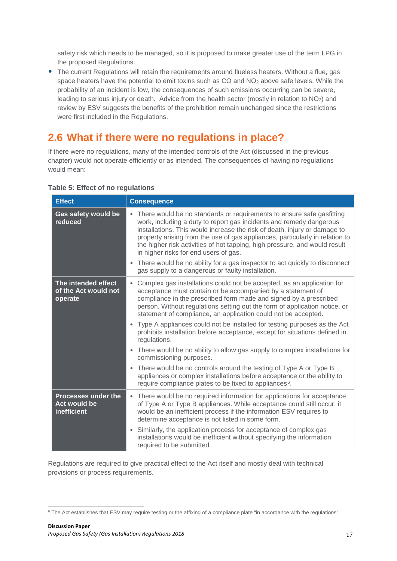safety risk which needs to be managed, so it is proposed to make greater use of the term LPG in the proposed Regulations.

• The current Regulations will retain the requirements around flueless heaters. Without a flue, gas space heaters have the potential to emit toxins such as CO and NO<sub>2</sub> above safe levels. While the probability of an incident is low, the consequences of such emissions occurring can be severe, leading to serious injury or death. Advice from the health sector (mostly in relation to NO2) and review by ESV suggests the benefits of the prohibition remain unchanged since the restrictions were first included in the Regulations.

# <span id="page-16-0"></span>**2.6 What if there were no regulations in place?**

If there were no regulations, many of the intended controls of the Act (discussed in the previous chapter) would not operate efficiently or as intended. The consequences of having no regulations would mean:

| <b>Effect</b>                                                    | <b>Consequence</b>                                                                                                                                                                                                                                                                                                                                                                                                                                                                                                                                                      |  |  |  |  |
|------------------------------------------------------------------|-------------------------------------------------------------------------------------------------------------------------------------------------------------------------------------------------------------------------------------------------------------------------------------------------------------------------------------------------------------------------------------------------------------------------------------------------------------------------------------------------------------------------------------------------------------------------|--|--|--|--|
| Gas safety would be<br>reduced                                   | • There would be no standards or requirements to ensure safe gasfitting<br>work, including a duty to report gas incidents and remedy dangerous<br>installations. This would increase the risk of death, injury or damage to<br>property arising from the use of gas appliances, particularly in relation to<br>the higher risk activities of hot tapping, high pressure, and would result<br>in higher risks for end users of gas.<br>• There would be no ability for a gas inspector to act quickly to disconnect<br>gas supply to a dangerous or faulty installation. |  |  |  |  |
| The intended effect<br>of the Act would not<br>operate           | • Complex gas installations could not be accepted, as an application for<br>acceptance must contain or be accompanied by a statement of<br>compliance in the prescribed form made and signed by a prescribed<br>person. Without regulations setting out the form of application notice, or<br>statement of compliance, an application could not be accepted.<br>• Type A appliances could not be installed for testing purposes as the Act<br>prohibits installation before acceptance, except for situations defined in<br>regulations.                                |  |  |  |  |
|                                                                  | There would be no ability to allow gas supply to complex installations for<br>$\bullet$<br>commissioning purposes.                                                                                                                                                                                                                                                                                                                                                                                                                                                      |  |  |  |  |
|                                                                  | • There would be no controls around the testing of Type A or Type B<br>appliances or complex installations before acceptance or the ability to<br>require compliance plates to be fixed to appliances <sup>6</sup> .                                                                                                                                                                                                                                                                                                                                                    |  |  |  |  |
| <b>Processes under the</b><br><b>Act would be</b><br>inefficient | • There would be no required information for applications for acceptance<br>of Type A or Type B appliances. While acceptance could still occur, it<br>would be an inefficient process if the information ESV requires to<br>determine acceptance is not listed in some form.                                                                                                                                                                                                                                                                                            |  |  |  |  |
|                                                                  | • Similarly, the application process for acceptance of complex gas<br>installations would be inefficient without specifying the information<br>required to be submitted.                                                                                                                                                                                                                                                                                                                                                                                                |  |  |  |  |

## **Table 5: Effect of no regulations**

Regulations are required to give practical effect to the Act itself and mostly deal with technical provisions or process requirements.

<span id="page-16-1"></span><sup>&</sup>lt;sup>6</sup> The Act establishes that ESV may require testing or the affixing of a compliance plate "in accordance with the regulations".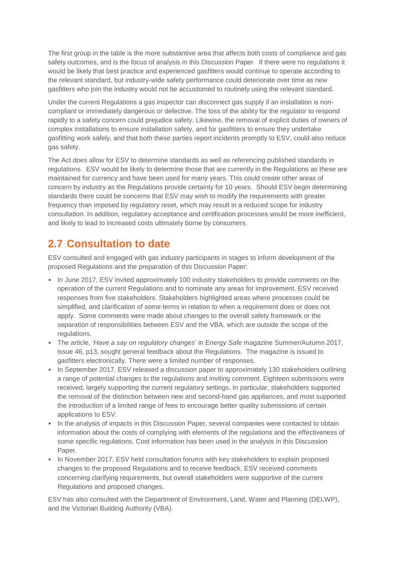The first group in the table is the more substantive area that affects both costs of compliance and gas safety outcomes, and is the focus of analysis in this Discussion Paper. If there were no regulations it would be likely that best practice and experienced gasfitters would continue to operate according to the relevant standard, but industry-wide safety performance could deteriorate over time as new gasfitters who join the industry would not be accustomed to routinely using the relevant standard.

Under the current Regulations a gas inspector can disconnect gas supply if an installation is noncompliant or immediately dangerous or defective. The loss of the ability for the regulator to respond rapidly to a safety concern could prejudice safety. Likewise, the removal of explicit duties of owners of complex installations to ensure installation safety, and for gasfitters to ensure they undertake gasfitting work safely, and that both these parties report incidents promptly to ESV, could also reduce gas safety.

The Act does allow for ESV to determine standards as well as referencing published standards in regulations. ESV would be likely to determine those that are currently in the Regulations as these are maintained for currency and have been used for many years. This could create other areas of concern by industry as the Regulations provide certainty for 10 years. Should ESV begin determining standards there could be concerns that ESV may wish to modify the requirements with greater frequency than imposed by regulatory reset, which may result in a reduced scope for industry consultation. In addition, regulatory acceptance and certification processes would be more inefficient, and likely to lead to increased costs ultimately borne by consumers.

# <span id="page-17-0"></span>**2.7 Consultation to date**

ESV consulted and engaged with gas industry participants in stages to inform development of the proposed Regulations and the preparation of this Discussion Paper:

- In June 2017, ESV invited approximately 100 industry stakeholders to provide comments on the operation of the current Regulations and to nominate any areas for improvement. ESV received responses from five stakeholders. Stakeholders highlighted areas where processes could be simplified, and clarification of some terms in relation to when a requirement does or does not apply. Some comments were made about changes to the overall safety framework or the separation of responsibilities between ESV and the VBA, which are outside the scope of the regulations.
- The article, '*Have a say on regulatory changes*' in *Energy Safe* magazine Summer/Autumn 2017, issue 46, p13, sought general feedback about the Regulations. The magazine is issued to gasfitters electronically. There were a limited number of responses.
- In September 2017, ESV released a discussion paper to approximately 130 stakeholders outlining a range of potential changes to the regulations and inviting comment. Eighteen submissions were received, largely supporting the current regulatory settings. In particular, stakeholders supported the removal of the distinction between new and second-hand gas appliances, and most supported the introduction of a limited range of fees to encourage better quality submissions of certain applications to ESV.
- In the analysis of impacts in this Discussion Paper, several companies were contacted to obtain information about the costs of complying with elements of the regulations and the effectiveness of some specific regulations. Cost information has been used in the analysis in this Discussion Paper.
- In November 2017, ESV held consultation forums with key stakeholders to explain proposed changes to the proposed Regulations and to receive feedback. ESV received comments concerning clarifying requirements, but overall stakeholders were supportive of the current Regulations and proposed changes.

ESV has also consulted with the Department of Environment, Land, Water and Planning (DELWP), and the Victorian Building Authority (VBA).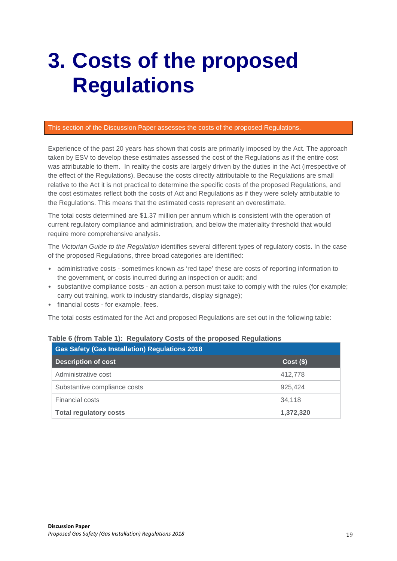# <span id="page-18-0"></span>**3. Costs of the proposed Regulations**

#### This section of the Discussion Paper assesses the costs of the proposed Regulations.

Experience of the past 20 years has shown that costs are primarily imposed by the Act. The approach taken by ESV to develop these estimates assessed the cost of the Regulations as if the entire cost was attributable to them. In reality the costs are largely driven by the duties in the Act (irrespective of the effect of the Regulations). Because the costs directly attributable to the Regulations are small relative to the Act it is not practical to determine the specific costs of the proposed Regulations, and the cost estimates reflect both the costs of Act and Regulations as if they were solely attributable to the Regulations. This means that the estimated costs represent an overestimate.

The total costs determined are \$1.37 million per annum which is consistent with the operation of current regulatory compliance and administration, and below the materiality threshold that would require more comprehensive analysis.

The *Victorian Guide to the Regulation* identifies several different types of regulatory costs. In the case of the proposed Regulations, three broad categories are identified:

- administrative costs sometimes known as 'red tape' these are costs of reporting information to the government, or costs incurred during an inspection or audit; and
- substantive compliance costs an action a person must take to comply with the rules (for example; carry out training, work to industry standards, display signage);
- financial costs for example, fees.

The total costs estimated for the Act and proposed Regulations are set out in the following table:

| <b>Gas Safety (Gas Installation) Regulations 2018</b> |             |
|-------------------------------------------------------|-------------|
| <b>Description of cost</b>                            | $Cost($ \$) |
| Administrative cost                                   | 412,778     |
| Substantive compliance costs                          | 925.424     |
| Financial costs                                       | 34,118      |
| <b>Total regulatory costs</b>                         | 1,372,320   |

## **Table 6 (from Table 1): Regulatory Costs of the proposed Regulations**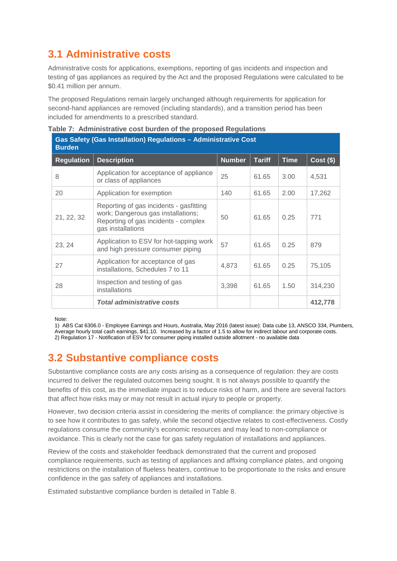# <span id="page-19-0"></span>**3.1 Administrative costs**

Administrative costs for applications, exemptions, reporting of gas incidents and inspection and testing of gas appliances as required by the Act and the proposed Regulations were calculated to be \$0.41 million per annum.

The proposed Regulations remain largely unchanged although requirements for application for second-hand appliances are removed (including standards), and a transition period has been included for amendments to a prescribed standard.

| Gas Safety (Gas Installation) Regulations - Administrative Cost<br><b>Burden</b> |                                                                                                                                            |               |               |             |             |  |  |
|----------------------------------------------------------------------------------|--------------------------------------------------------------------------------------------------------------------------------------------|---------------|---------------|-------------|-------------|--|--|
| <b>Regulation</b>                                                                | <b>Description</b>                                                                                                                         | <b>Number</b> | <b>Tariff</b> | <b>Time</b> | $Cost($ \$) |  |  |
| 8                                                                                | Application for acceptance of appliance<br>or class of appliances                                                                          | 25            | 61.65         | 3.00        | 4,531       |  |  |
| 20                                                                               | Application for exemption                                                                                                                  | 140           | 61.65         | 2.00        | 17,262      |  |  |
| 21, 22, 32                                                                       | Reporting of gas incidents - gasfitting<br>work; Dangerous gas installations;<br>Reporting of gas incidents - complex<br>gas installations | 50            | 61.65         | 0.25        | 771         |  |  |
| 23, 24                                                                           | Application to ESV for hot-tapping work<br>and high pressure consumer piping                                                               | 57            | 61.65         | 0.25        | 879         |  |  |
| 27                                                                               | Application for acceptance of gas<br>installations, Schedules 7 to 11                                                                      | 4,873         | 61.65         | 0.25        | 75,105      |  |  |
| 28                                                                               | Inspection and testing of gas<br>installations                                                                                             | 3,398         | 61.65         | 1.50        | 314,230     |  |  |
|                                                                                  | <b>Total administrative costs</b>                                                                                                          |               |               |             | 412,778     |  |  |

|  | Table 7: Administrative cost burden of the proposed Regulations |  |  |  |  |  |
|--|-----------------------------------------------------------------|--|--|--|--|--|
|--|-----------------------------------------------------------------|--|--|--|--|--|

Note:

1) ABS Cat 6306.0 - Employee Earnings and Hours, Australia, May 2016 (latest issue): Data cube 13, ANSCO 334, Plumbers, Average hourly total cash earnings, \$41.10. Increased by a factor of 1.5 to allow for indirect labour and corporate costs. 2) Regulation 17 - Notification of ESV for consumer piping installed outside allotment - no available data

# <span id="page-19-1"></span>**3.2 Substantive compliance costs**

Substantive compliance costs are any costs arising as a consequence of regulation: they are costs incurred to deliver the regulated outcomes being sought. It is not always possible to quantify the benefits of this cost, as the immediate impact is to reduce risks of harm, and there are several factors that affect how risks may or may not result in actual injury to people or property.

However, two decision criteria assist in considering the merits of compliance: the primary objective is to see how it contributes to gas safety, while the second objective relates to cost-effectiveness. Costly regulations consume the community's economic resources and may lead to non-compliance or avoidance. This is clearly not the case for gas safety regulation of installations and appliances.

Review of the costs and stakeholder feedback demonstrated that the current and proposed compliance requirements, such as testing of appliances and affixing compliance plates, and ongoing restrictions on the installation of flueless heaters, continue to be proportionate to the risks and ensure confidence in the gas safety of appliances and installations.

Estimated substantive compliance burden is detailed in Table 8.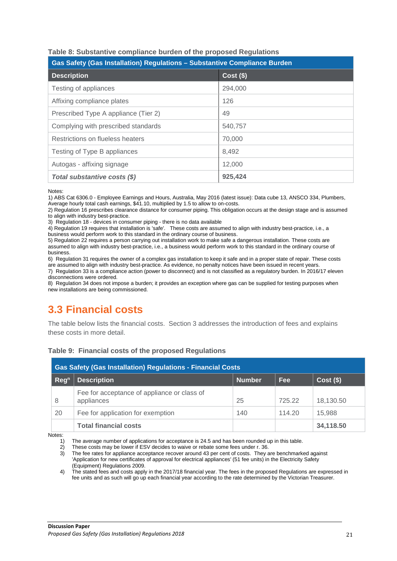| Gas Safety (Gas Installation) Regulations - Substantive Compliance Burden |             |  |  |  |  |
|---------------------------------------------------------------------------|-------------|--|--|--|--|
| <b>Description</b>                                                        | $Cost($ \$) |  |  |  |  |
| Testing of appliances                                                     | 294,000     |  |  |  |  |
| Affixing compliance plates                                                | 126         |  |  |  |  |
| Prescribed Type A appliance (Tier 2)                                      | 49          |  |  |  |  |
| Complying with prescribed standards                                       | 540.757     |  |  |  |  |
| Restrictions on flueless heaters                                          | 70,000      |  |  |  |  |
| Testing of Type B appliances                                              | 8,492       |  |  |  |  |
| Autogas - affixing signage                                                | 12,000      |  |  |  |  |
| Total substantive costs (\$)                                              | 925,424     |  |  |  |  |

## **Table 8: Substantive compliance burden of the proposed Regulations**

Notes:

1) ABS Cat 6306.0 - Employee Earnings and Hours, Australia, May 2016 (latest issue): Data cube 13, ANSCO 334, Plumbers, Average hourly total cash earnings, \$41.10, multiplied by 1.5 to allow to on-costs.

2) Regulation 16 prescribes clearance distance for consumer piping. This obligation occurs at the design stage and is assumed to align with industry best-practice.

3) Regulation 18 - devices in consumer piping - there is no data available

4) Regulation 19 requires that installation is 'safe'. These costs are assumed to align with industry best-practice, i.e., a

business would perform work to this standard in the ordinary course of business.

5) Regulation 22 requires a person carrying out installation work to make safe a dangerous installation. These costs are assumed to align with industry best-practice, i.e., a business would perform work to this standard in the ordinary course of business.

6) Regulation 31 requires the owner of a complex gas installation to keep it safe and in a proper state of repair. These costs are assumed to align with industry best-practice. As evidence, no penalty notices have been issued in recent years.

7) Regulation 33 is a compliance action (power to disconnect) and is not classified as a regulatory burden. In 2016/17 eleven disconnections were ordered.

8) Regulation 34 does not impose a burden; it provides an exception where gas can be supplied for testing purposes when new installations are being commissioned.

# <span id="page-20-0"></span>**3.3 Financial costs**

The table below lists the financial costs. Section [3](#page-21-0) addresses the introduction of fees and explains these costs in more detail.

|  |  |  |  |  | Table 9: Financial costs of the proposed Regulations |
|--|--|--|--|--|------------------------------------------------------|
|--|--|--|--|--|------------------------------------------------------|

| <b>Gas Safety (Gas Installation) Regulations - Financial Costs</b> |                                                           |               |        |             |  |  |
|--------------------------------------------------------------------|-----------------------------------------------------------|---------------|--------|-------------|--|--|
| Reg <sup>n</sup>                                                   | <b>Description</b>                                        | <b>Number</b> | Fee.   | $Cost($ \$) |  |  |
| 8                                                                  | Fee for acceptance of appliance or class of<br>appliances | 25            | 725.22 | 18,130.50   |  |  |
| 20                                                                 | Fee for application for exemption                         | 140           | 114.20 | 15.988      |  |  |
|                                                                    | <b>Total financial costs</b>                              |               |        | 34,118.50   |  |  |

Notes:

1) The average number of applications for acceptance is 24.5 and has been rounded up in this table.<br>2) These costs may be lower if ESV decides to waive or rebate some fees under r. 36.

These costs may be lower if ESV decides to waive or rebate some fees under r. 36.

3) The fee rates for appliance acceptance recover around 43 per cent of costs. They are benchmarked against 'Application for new certificates of approval for electrical appliances' (51 fee units) in the Electricity Safety (Equipment) Regulations 2009.

4) The stated fees and costs apply in the 2017/18 financial year. The fees in the proposed Regulations are expressed in fee units and as such will go up each financial year according to the rate determined by the Victorian Treasurer.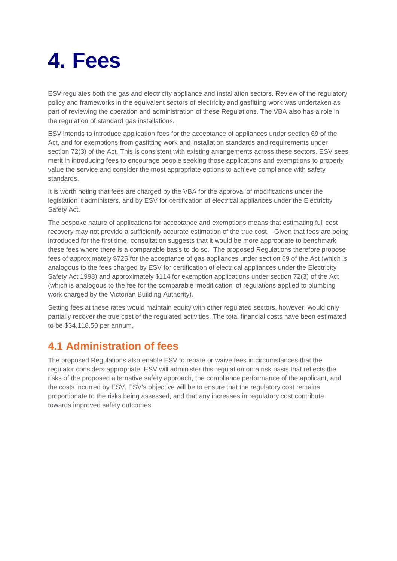# <span id="page-21-0"></span>**4. Fees**

ESV regulates both the gas and electricity appliance and installation sectors. Review of the regulatory policy and frameworks in the equivalent sectors of electricity and gasfitting work was undertaken as part of reviewing the operation and administration of these Regulations. The VBA also has a role in the regulation of standard gas installations.

ESV intends to introduce application fees for the acceptance of appliances under section 69 of the Act, and for exemptions from gasfitting work and installation standards and requirements under section 72(3) of the Act. This is consistent with existing arrangements across these sectors. ESV sees merit in introducing fees to encourage people seeking those applications and exemptions to properly value the service and consider the most appropriate options to achieve compliance with safety standards.

It is worth noting that fees are charged by the VBA for the approval of modifications under the legislation it administers, and by ESV for certification of electrical appliances under the Electricity Safety Act.

The bespoke nature of applications for acceptance and exemptions means that estimating full cost recovery may not provide a sufficiently accurate estimation of the true cost. Given that fees are being introduced for the first time, consultation suggests that it would be more appropriate to benchmark these fees where there is a comparable basis to do so. The proposed Regulations therefore propose fees of approximately \$725 for the acceptance of gas appliances under section 69 of the Act (which is analogous to the fees charged by ESV for certification of electrical appliances under the Electricity Safety Act 1998) and approximately \$114 for exemption applications under section 72(3) of the Act (which is analogous to the fee for the comparable 'modification' of regulations applied to plumbing work charged by the Victorian Building Authority).

Setting fees at these rates would maintain equity with other regulated sectors, however, would only partially recover the true cost of the regulated activities. The total financial costs have been estimated to be \$34,118.50 per annum.

# <span id="page-21-1"></span>**4.1 Administration of fees**

The proposed Regulations also enable ESV to rebate or waive fees in circumstances that the regulator considers appropriate. ESV will administer this regulation on a risk basis that reflects the risks of the proposed alternative safety approach, the compliance performance of the applicant, and the costs incurred by ESV. ESV's objective will be to ensure that the regulatory cost remains proportionate to the risks being assessed, and that any increases in regulatory cost contribute towards improved safety outcomes.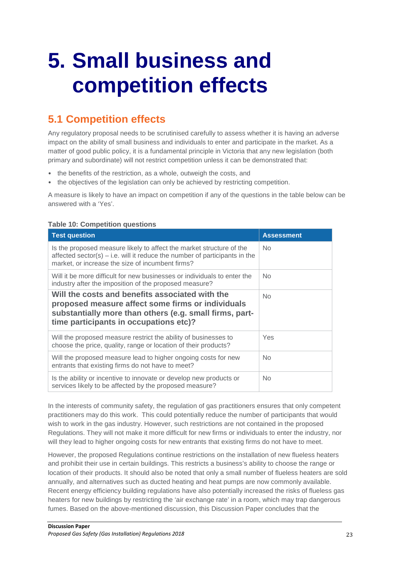# <span id="page-22-0"></span>**5. Small business and competition effects**

# <span id="page-22-1"></span>**5.1 Competition effects**

Any regulatory proposal needs to be scrutinised carefully to assess whether it is having an adverse impact on the ability of small business and individuals to enter and participate in the market. As a matter of good public policy, it is a fundamental principle in Victoria that any new legislation (both primary and subordinate) will not restrict competition unless it can be demonstrated that:

- the benefits of the restriction, as a whole, outweigh the costs, and
- the objectives of the legislation can only be achieved by restricting competition.

A measure is likely to have an impact on competition if any of the questions in the table below can be answered with a 'Yes'.

## **Table 10: Competition questions**

| <b>Test question</b>                                                                                                                                                                                      | <b>Assessment</b> |
|-----------------------------------------------------------------------------------------------------------------------------------------------------------------------------------------------------------|-------------------|
| Is the proposed measure likely to affect the market structure of the<br>affected sector(s) $-$ i.e. will it reduce the number of participants in the<br>market, or increase the size of incumbent firms?  | No.               |
| Will it be more difficult for new businesses or individuals to enter the<br>industry after the imposition of the proposed measure?                                                                        | <b>No</b>         |
| Will the costs and benefits associated with the<br>proposed measure affect some firms or individuals<br>substantially more than others (e.g. small firms, part-<br>time participants in occupations etc)? | No                |
| Will the proposed measure restrict the ability of businesses to<br>choose the price, quality, range or location of their products?                                                                        | Yes               |
| Will the proposed measure lead to higher ongoing costs for new<br>entrants that existing firms do not have to meet?                                                                                       | No.               |
| Is the ability or incentive to innovate or develop new products or<br>services likely to be affected by the proposed measure?                                                                             | <b>No</b>         |

In the interests of community safety, the regulation of gas practitioners ensures that only competent practitioners may do this work. This could potentially reduce the number of participants that would wish to work in the gas industry. However, such restrictions are not contained in the proposed Regulations. They will not make it more difficult for new firms or individuals to enter the industry, nor will they lead to higher ongoing costs for new entrants that existing firms do not have to meet.

However, the proposed Regulations continue restrictions on the installation of new flueless heaters and prohibit their use in certain buildings. This restricts a business's ability to choose the range or location of their products. It should also be noted that only a small number of flueless heaters are sold annually, and alternatives such as ducted heating and heat pumps are now commonly available. Recent energy efficiency building regulations have also potentially increased the risks of flueless gas heaters for new buildings by restricting the 'air exchange rate' in a room, which may trap dangerous fumes. Based on the above-mentioned discussion, this Discussion Paper concludes that the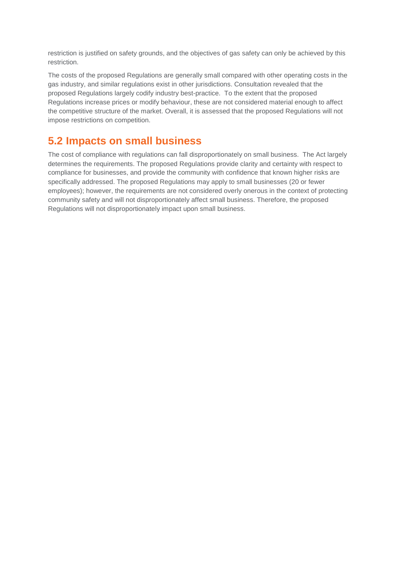restriction is justified on safety grounds, and the objectives of gas safety can only be achieved by this restriction.

The costs of the proposed Regulations are generally small compared with other operating costs in the gas industry, and similar regulations exist in other jurisdictions. Consultation revealed that the proposed Regulations largely codify industry best-practice. To the extent that the proposed Regulations increase prices or modify behaviour, these are not considered material enough to affect the competitive structure of the market. Overall, it is assessed that the proposed Regulations will not impose restrictions on competition.

# <span id="page-23-0"></span>**5.2 Impacts on small business**

The cost of compliance with regulations can fall disproportionately on small business. The Act largely determines the requirements. The proposed Regulations provide clarity and certainty with respect to compliance for businesses, and provide the community with confidence that known higher risks are specifically addressed. The proposed Regulations may apply to small businesses (20 or fewer employees); however, the requirements are not considered overly onerous in the context of protecting community safety and will not disproportionately affect small business. Therefore, the proposed Regulations will not disproportionately impact upon small business.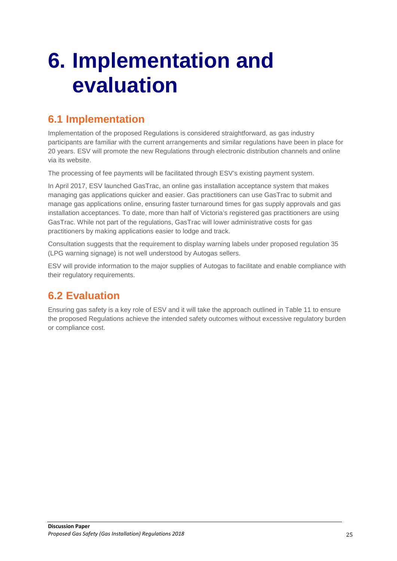# <span id="page-24-0"></span>**6. Implementation and evaluation**

# <span id="page-24-1"></span>**6.1 Implementation**

Implementation of the proposed Regulations is considered straightforward, as gas industry participants are familiar with the current arrangements and similar regulations have been in place for 20 years. ESV will promote the new Regulations through electronic distribution channels and online via its website.

The processing of fee payments will be facilitated through ESV's existing payment system.

In April 2017, ESV launched [GasTrac,](https://esvconnect.esv.vic.gov.au/home) an online gas installation acceptance system that makes managing gas applications quicker and easier. Gas practitioners can use [GasTrac](https://esvconnect.esv.vic.gov.au/home) to submit and manage gas applications online, ensuring faster turnaround times for gas supply approvals and gas installation acceptances. To date, more than half of Victoria's registered gas practitioners are using GasTrac. While not part of the regulations, GasTrac will lower administrative costs for gas practitioners by making applications easier to lodge and track.

Consultation suggests that the requirement to display warning labels under proposed regulation 35 (LPG warning signage) is not well understood by Autogas sellers.

ESV will provide information to the major supplies of Autogas to facilitate and enable compliance with their regulatory requirements.

# <span id="page-24-2"></span>**6.2 Evaluation**

Ensuring gas safety is a key role of ESV and it will take the approach outlined in Table 11 to ensure the proposed Regulations achieve the intended safety outcomes without excessive regulatory burden or compliance cost.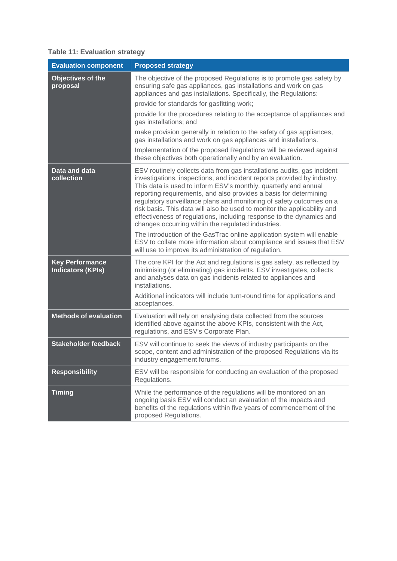# **Table 11: Evaluation strategy**

| <b>Evaluation component</b>                        | <b>Proposed strategy</b>                                                                                                                                                                                                                                                                                                                                                                                                                                                                                                                                                     |  |  |
|----------------------------------------------------|------------------------------------------------------------------------------------------------------------------------------------------------------------------------------------------------------------------------------------------------------------------------------------------------------------------------------------------------------------------------------------------------------------------------------------------------------------------------------------------------------------------------------------------------------------------------------|--|--|
| Objectives of the<br>proposal                      | The objective of the proposed Regulations is to promote gas safety by<br>ensuring safe gas appliances, gas installations and work on gas<br>appliances and gas installations. Specifically, the Regulations:                                                                                                                                                                                                                                                                                                                                                                 |  |  |
|                                                    | provide for standards for gasfitting work;                                                                                                                                                                                                                                                                                                                                                                                                                                                                                                                                   |  |  |
|                                                    | provide for the procedures relating to the acceptance of appliances and<br>gas installations; and                                                                                                                                                                                                                                                                                                                                                                                                                                                                            |  |  |
|                                                    | make provision generally in relation to the safety of gas appliances,<br>gas installations and work on gas appliances and installations.                                                                                                                                                                                                                                                                                                                                                                                                                                     |  |  |
|                                                    | Implementation of the proposed Regulations will be reviewed against<br>these objectives both operationally and by an evaluation.                                                                                                                                                                                                                                                                                                                                                                                                                                             |  |  |
| Data and data<br>collection                        | ESV routinely collects data from gas installations audits, gas incident<br>investigations, inspections, and incident reports provided by industry.<br>This data is used to inform ESV's monthly, quarterly and annual<br>reporting requirements, and also provides a basis for determining<br>regulatory surveillance plans and monitoring of safety outcomes on a<br>risk basis. This data will also be used to monitor the applicability and<br>effectiveness of regulations, including response to the dynamics and<br>changes occurring within the regulated industries. |  |  |
|                                                    | The introduction of the GasTrac online application system will enable<br>ESV to collate more information about compliance and issues that ESV<br>will use to improve its administration of regulation.                                                                                                                                                                                                                                                                                                                                                                       |  |  |
| <b>Key Performance</b><br><b>Indicators (KPIs)</b> | The core KPI for the Act and regulations is gas safety, as reflected by<br>minimising (or eliminating) gas incidents. ESV investigates, collects<br>and analyses data on gas incidents related to appliances and<br>installations.                                                                                                                                                                                                                                                                                                                                           |  |  |
|                                                    | Additional indicators will include turn-round time for applications and<br>acceptances.                                                                                                                                                                                                                                                                                                                                                                                                                                                                                      |  |  |
| <b>Methods of evaluation</b>                       | Evaluation will rely on analysing data collected from the sources<br>identified above against the above KPIs, consistent with the Act,<br>regulations, and ESV's Corporate Plan.                                                                                                                                                                                                                                                                                                                                                                                             |  |  |
| <b>Stakeholder feedback</b>                        | ESV will continue to seek the views of industry participants on the<br>scope, content and administration of the proposed Regulations via its<br>industry engagement forums.                                                                                                                                                                                                                                                                                                                                                                                                  |  |  |
| <b>Responsibility</b>                              | ESV will be responsible for conducting an evaluation of the proposed<br>Regulations.                                                                                                                                                                                                                                                                                                                                                                                                                                                                                         |  |  |
| <b>Timing</b>                                      | While the performance of the regulations will be monitored on an<br>ongoing basis ESV will conduct an evaluation of the impacts and<br>benefits of the regulations within five years of commencement of the<br>proposed Regulations.                                                                                                                                                                                                                                                                                                                                         |  |  |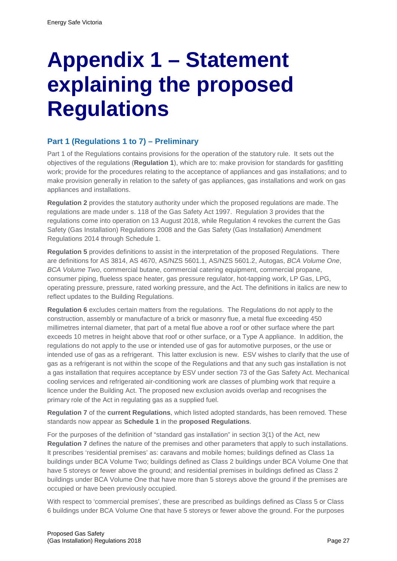# <span id="page-26-0"></span>**Appendix 1 – Statement explaining the proposed Regulations**

# **Part 1 (Regulations 1 to 7) – Preliminary**

Part 1 of the Regulations contains provisions for the operation of the statutory rule. It sets out the objectives of the regulations (**Regulation 1**), which are to: make provision for standards for gasfitting work; provide for the procedures relating to the acceptance of appliances and gas installations; and to make provision generally in relation to the safety of gas appliances, gas installations and work on gas appliances and installations.

**Regulation 2** provides the statutory authority under which the proposed regulations are made. The regulations are made under s. 118 of the Gas Safety Act 1997. Regulation 3 provides that the regulations come into operation on 13 August 2018, while Regulation 4 revokes the current the Gas Safety (Gas Installation) Regulations 2008 and the Gas Safety (Gas Installation) Amendment Regulations 2014 through Schedule 1.

**Regulation 5** provides definitions to assist in the interpretation of the proposed Regulations. There are definitions for AS 3814, AS 4670, AS/NZS 5601.1, AS/NZS 5601.2, Autogas, *BCA Volume One*, *BCA Volume Two*, commercial butane, commercial catering equipment, commercial propane, consumer piping, flueless space heater, gas pressure regulator, hot-tapping work, LP Gas, LPG, operating pressure, pressure, rated working pressure, and the Act. The definitions in italics are new to reflect updates to the Building Regulations.

**Regulation 6** excludes certain matters from the regulations. The Regulations do not apply to the construction, assembly or manufacture of a brick or masonry flue, a metal flue exceeding 450 millimetres internal diameter, that part of a metal flue above a roof or other surface where the part exceeds 10 metres in height above that roof or other surface, or a Type A appliance. In addition, the regulations do not apply to the use or intended use of gas for automotive purposes, or the use or intended use of gas as a refrigerant. This latter exclusion is new. ESV wishes to clarify that the use of gas as a refrigerant is not within the scope of the Regulations and that any such gas installation is not a gas installation that requires acceptance by ESV under section 73 of the Gas Safety Act. Mechanical cooling services and refrigerated air-conditioning work are classes of plumbing work that require a licence under the Building Act. The proposed new exclusion avoids overlap and recognises the primary role of the Act in regulating gas as a supplied fuel.

**Regulation 7** of the **current Regulations**, which listed adopted standards, has been removed. These standards now appear as **Schedule 1** in the **proposed Regulations**.

For the purposes of the definition of "standard gas installation" in section 3(1) of the Act, new **Regulation 7** defines the nature of the premises and other parameters that apply to such installations. It prescribes 'residential premises' as: caravans and mobile homes; buildings defined as Class 1a buildings under BCA Volume Two; buildings defined as Class 2 buildings under BCA Volume One that have 5 storeys or fewer above the ground; and residential premises in buildings defined as Class 2 buildings under BCA Volume One that have more than 5 storeys above the ground if the premises are occupied or have been previously occupied.

With respect to 'commercial premises', these are prescribed as buildings defined as Class 5 or Class 6 buildings under BCA Volume One that have 5 storeys or fewer above the ground. For the purposes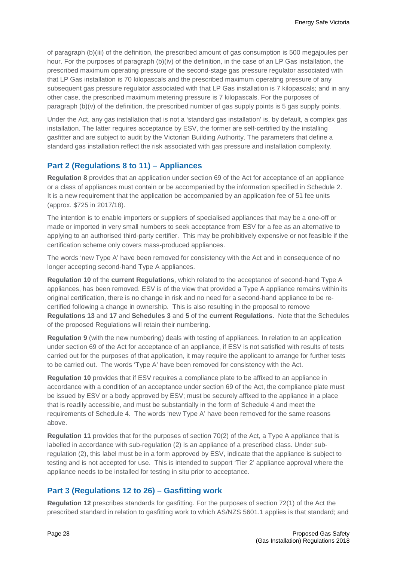of paragraph (b)(iii) of the definition, the prescribed amount of gas consumption is 500 megajoules per hour. For the purposes of paragraph (b)(iv) of the definition, in the case of an LP Gas installation, the prescribed maximum operating pressure of the second-stage gas pressure regulator associated with that LP Gas installation is 70 kilopascals and the prescribed maximum operating pressure of any subsequent gas pressure regulator associated with that LP Gas installation is 7 kilopascals; and in any other case, the prescribed maximum metering pressure is 7 kilopascals. For the purposes of paragraph (b)(v) of the definition, the prescribed number of gas supply points is 5 gas supply points.

Under the Act, any gas installation that is not a 'standard gas installation' is, by default, a complex gas installation. The latter requires acceptance by ESV, the former are self-certified by the installing gasfitter and are subject to audit by the Victorian Building Authority. The parameters that define a standard gas installation reflect the risk associated with gas pressure and installation complexity.

# **Part 2 (Regulations 8 to 11) – Appliances**

**Regulation 8** provides that an application under section 69 of the Act for acceptance of an appliance or a class of appliances must contain or be accompanied by the information specified in Schedule 2. It is a new requirement that the application be accompanied by an application fee of 51 fee units (approx. \$725 in 2017/18).

The intention is to enable importers or suppliers of specialised appliances that may be a one-off or made or imported in very small numbers to seek acceptance from ESV for a fee as an alternative to applying to an authorised third-party certifier. This may be prohibitively expensive or not feasible if the certification scheme only covers mass-produced appliances.

The words 'new Type A' have been removed for consistency with the Act and in consequence of no longer accepting second-hand Type A appliances.

**Regulation 10** of the **current Regulations**, which related to the acceptance of second-hand Type A appliances, has been removed. ESV is of the view that provided a Type A appliance remains within its original certification, there is no change in risk and no need for a second-hand appliance to be recertified following a change in ownership. This is also resulting in the proposal to remove **Regulations 13** and **17** and **Schedules 3** and **5** of the **current Regulations**. Note that the Schedules of the proposed Regulations will retain their numbering.

**Regulation 9** (with the new numbering) deals with testing of appliances. In relation to an application under section 69 of the Act for acceptance of an appliance, if ESV is not satisfied with results of tests carried out for the purposes of that application, it may require the applicant to arrange for further tests to be carried out. The words 'Type A' have been removed for consistency with the Act.

**Regulation 10** provides that if ESV requires a compliance plate to be affixed to an appliance in accordance with a condition of an acceptance under section 69 of the Act, the compliance plate must be issued by ESV or a body approved by ESV; must be securely affixed to the appliance in a place that is readily accessible, and must be substantially in the form of Schedule 4 and meet the requirements of Schedule 4. The words 'new Type A' have been removed for the same reasons above.

**Regulation 11** provides that for the purposes of section 70(2) of the Act, a Type A appliance that is labelled in accordance with sub-regulation (2) is an appliance of a prescribed class. Under subregulation (2), this label must be in a form approved by ESV, indicate that the appliance is subject to testing and is not accepted for use. This is intended to support 'Tier 2' appliance approval where the appliance needs to be installed for testing in situ prior to acceptance.

# **Part 3 (Regulations 12 to 26) – Gasfitting work**

**Regulation 12** prescribes standards for gasfitting. For the purposes of section 72(1) of the Act the prescribed standard in relation to gasfitting work to which AS/NZS 5601.1 applies is that standard; and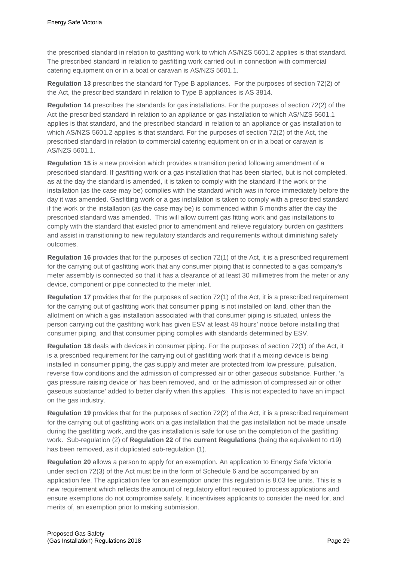the prescribed standard in relation to gasfitting work to which AS/NZS 5601.2 applies is that standard. The prescribed standard in relation to gasfitting work carried out in connection with commercial catering equipment on or in a boat or caravan is AS/NZS 5601.1.

**Regulation 13** prescribes the standard for Type B appliances. For the purposes of section 72(2) of the Act, the prescribed standard in relation to Type B appliances is AS 3814.

**Regulation 14** prescribes the standards for gas installations. For the purposes of section 72(2) of the Act the prescribed standard in relation to an appliance or gas installation to which AS/NZS 5601.1 applies is that standard, and the prescribed standard in relation to an appliance or gas installation to which AS/NZS 5601.2 applies is that standard. For the purposes of section 72(2) of the Act, the prescribed standard in relation to commercial catering equipment on or in a boat or caravan is AS/NZS 5601.1.

**Regulation 15** is a new provision which provides a transition period following amendment of a prescribed standard. If gasfitting work or a gas installation that has been started, but is not completed, as at the day the standard is amended, it is taken to comply with the standard if the work or the installation (as the case may be) complies with the standard which was in force immediately before the day it was amended. Gasfitting work or a gas installation is taken to comply with a prescribed standard if the work or the installation (as the case may be) is commenced within 6 months after the day the prescribed standard was amended. This will allow current gas fitting work and gas installations to comply with the standard that existed prior to amendment and relieve regulatory burden on gasfitters and assist in transitioning to new regulatory standards and requirements without diminishing safety outcomes.

**Regulation 16** provides that for the purposes of section 72(1) of the Act, it is a prescribed requirement for the carrying out of gasfitting work that any consumer piping that is connected to a gas company's meter assembly is connected so that it has a clearance of at least 30 millimetres from the meter or any device, component or pipe connected to the meter inlet.

**Regulation 17** provides that for the purposes of section 72(1) of the Act, it is a prescribed requirement for the carrying out of gasfitting work that consumer piping is not installed on land, other than the allotment on which a gas installation associated with that consumer piping is situated, unless the person carrying out the gasfitting work has given ESV at least 48 hours' notice before installing that consumer piping, and that consumer piping complies with standards determined by ESV.

**Regulation 18** deals with devices in consumer piping. For the purposes of section 72(1) of the Act, it is a prescribed requirement for the carrying out of gasfitting work that if a mixing device is being installed in consumer piping, the gas supply and meter are protected from low pressure, pulsation, reverse flow conditions and the admission of compressed air or other gaseous substance. Further, 'a gas pressure raising device or' has been removed, and 'or the admission of compressed air or other gaseous substance' added to better clarify when this applies. This is not expected to have an impact on the gas industry.

**Regulation 19** provides that for the purposes of section 72(2) of the Act, it is a prescribed requirement for the carrying out of gasfitting work on a gas installation that the gas installation not be made unsafe during the gasfitting work, and the gas installation is safe for use on the completion of the gasfitting work. Sub-regulation (2) of **Regulation 22** of the **current Regulations** (being the equivalent to r19) has been removed, as it duplicated sub-regulation (1).

**Regulation 20** allows a person to apply for an exemption. An application to Energy Safe Victoria under section 72(3) of the Act must be in the form of Schedule 6 and be accompanied by an application fee. The application fee for an exemption under this regulation is 8.03 fee units. This is a new requirement which reflects the amount of regulatory effort required to process applications and ensure exemptions do not compromise safety. It incentivises applicants to consider the need for, and merits of, an exemption prior to making submission.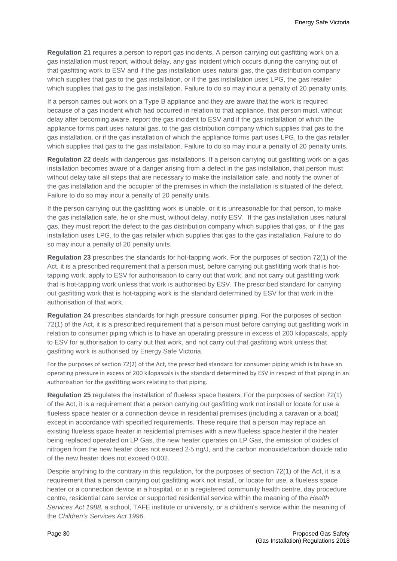**Regulation 21** requires a person to report gas incidents. A person carrying out gasfitting work on a gas installation must report, without delay, any gas incident which occurs during the carrying out of that gasfitting work to ESV and if the gas installation uses natural gas, the gas distribution company which supplies that gas to the gas installation, or if the gas installation uses LPG, the gas retailer which supplies that gas to the gas installation. Failure to do so may incur a penalty of 20 penalty units.

If a person carries out work on a Type B appliance and they are aware that the work is required because of a gas incident which had occurred in relation to that appliance, that person must, without delay after becoming aware, report the gas incident to ESV and if the gas installation of which the appliance forms part uses natural gas, to the gas distribution company which supplies that gas to the gas installation, or if the gas installation of which the appliance forms part uses LPG, to the gas retailer which supplies that gas to the gas installation. Failure to do so may incur a penalty of 20 penalty units.

**Regulation 22** deals with dangerous gas installations. If a person carrying out gasfitting work on a gas installation becomes aware of a danger arising from a defect in the gas installation, that person must without delay take all steps that are necessary to make the installation safe, and notify the owner of the gas installation and the occupier of the premises in which the installation is situated of the defect. Failure to do so may incur a penalty of 20 penalty units.

If the person carrying out the gasfitting work is unable, or it is unreasonable for that person, to make the gas installation safe, he or she must, without delay, notify ESV. If the gas installation uses natural gas, they must report the defect to the gas distribution company which supplies that gas, or if the gas installation uses LPG, to the gas retailer which supplies that gas to the gas installation. Failure to do so may incur a penalty of 20 penalty units.

**Regulation 23** prescribes the standards for hot-tapping work. For the purposes of section 72(1) of the Act, it is a prescribed requirement that a person must, before carrying out gasfitting work that is hottapping work, apply to ESV for authorisation to carry out that work, and not carry out gasfitting work that is hot-tapping work unless that work is authorised by ESV. The prescribed standard for carrying out gasfitting work that is hot-tapping work is the standard determined by ESV for that work in the authorisation of that work.

**Regulation 24** prescribes standards for high pressure consumer piping. For the purposes of section 72(1) of the Act, it is a prescribed requirement that a person must before carrying out gasfitting work in relation to consumer piping which is to have an operating pressure in excess of 200 kilopascals, apply to ESV for authorisation to carry out that work, and not carry out that gasfitting work unless that gasfitting work is authorised by Energy Safe Victoria.

For the purposes of section 72(2) of the Act, the prescribed standard for consumer piping which is to have an operating pressure in excess of 200 kilopascals is the standard determined by ESV in respect of that piping in an authorisation for the gasfitting work relating to that piping.

**Regulation 25** regulates the installation of flueless space heaters. For the purposes of section 72(1) of the Act, it is a requirement that a person carrying out gasfitting work not install or locate for use a flueless space heater or a connection device in residential premises (including a caravan or a boat) except in accordance with specified requirements. These require that a person may replace an existing flueless space heater in residential premises with a new flueless space heater if the heater being replaced operated on LP Gas, the new heater operates on LP Gas, the emission of oxides of nitrogen from the new heater does not exceed 2⋅5 ng/J, and the carbon monoxide/carbon dioxide ratio of the new heater does not exceed 0⋅002.

Despite anything to the contrary in this regulation, for the purposes of section 72(1) of the Act, it is a requirement that a person carrying out gasfitting work not install, or locate for use, a flueless space heater or a connection device in a hospital, or in a registered community health centre, day procedure centre, residential care service or supported residential service within the meaning of the *Health Services Act 1988*, a school, TAFE institute or university, or a children's service within the meaning of the *Children's Services Act 1996*.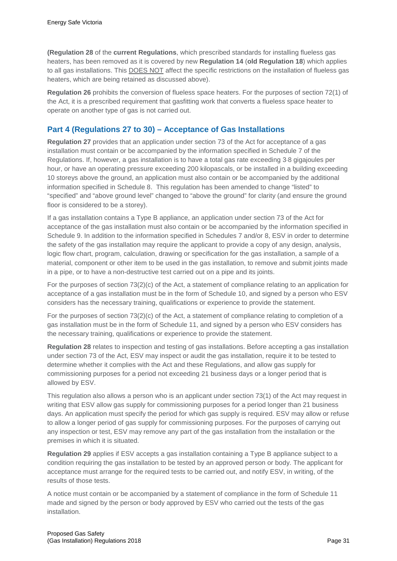**(Regulation 28** of the **current Regulations**, which prescribed standards for installing flueless gas heaters, has been removed as it is covered by new **Regulation 14** (**old Regulation 18**) which applies to all gas installations. This DOES NOT affect the specific restrictions on the installation of flueless gas heaters, which are being retained as discussed above).

**Regulation 26** prohibits the conversion of flueless space heaters. For the purposes of section 72(1) of the Act, it is a prescribed requirement that gasfitting work that converts a flueless space heater to operate on another type of gas is not carried out.

# **Part 4 (Regulations 27 to 30) – Acceptance of Gas Installations**

**Regulation 27** provides that an application under section 73 of the Act for acceptance of a gas installation must contain or be accompanied by the information specified in Schedule 7 of the Regulations. If, however, a gas installation is to have a total gas rate exceeding 3⋅8 gigajoules per hour, or have an operating pressure exceeding 200 kilopascals, or be installed in a building exceeding 10 storeys above the ground, an application must also contain or be accompanied by the additional information specified in Schedule 8. This regulation has been amended to change "listed" to "specified" and "above ground level" changed to "above the ground" for clarity (and ensure the ground floor is considered to be a storey).

If a gas installation contains a Type B appliance, an application under section 73 of the Act for acceptance of the gas installation must also contain or be accompanied by the information specified in Schedule 9. In addition to the information specified in Schedules 7 and/or 8, ESV in order to determine the safety of the gas installation may require the applicant to provide a copy of any design, analysis, logic flow chart, program, calculation, drawing or specification for the gas installation, a sample of a material, component or other item to be used in the gas installation, to remove and submit joints made in a pipe, or to have a non-destructive test carried out on a pipe and its joints.

For the purposes of section 73(2)(c) of the Act, a statement of compliance relating to an application for acceptance of a gas installation must be in the form of Schedule 10, and signed by a person who ESV considers has the necessary training, qualifications or experience to provide the statement.

For the purposes of section 73(2)(c) of the Act, a statement of compliance relating to completion of a gas installation must be in the form of Schedule 11, and signed by a person who ESV considers has the necessary training, qualifications or experience to provide the statement.

**Regulation 28** relates to inspection and testing of gas installations. Before accepting a gas installation under section 73 of the Act, ESV may inspect or audit the gas installation, require it to be tested to determine whether it complies with the Act and these Regulations, and allow gas supply for commissioning purposes for a period not exceeding 21 business days or a longer period that is allowed by ESV.

This regulation also allows a person who is an applicant under section 73(1) of the Act may request in writing that ESV allow gas supply for commissioning purposes for a period longer than 21 business days. An application must specify the period for which gas supply is required. ESV may allow or refuse to allow a longer period of gas supply for commissioning purposes. For the purposes of carrying out any inspection or test, ESV may remove any part of the gas installation from the installation or the premises in which it is situated.

**Regulation 29** applies if ESV accepts a gas installation containing a Type B appliance subject to a condition requiring the gas installation to be tested by an approved person or body. The applicant for acceptance must arrange for the required tests to be carried out, and notify ESV, in writing, of the results of those tests.

A notice must contain or be accompanied by a statement of compliance in the form of Schedule 11 made and signed by the person or body approved by ESV who carried out the tests of the gas installation.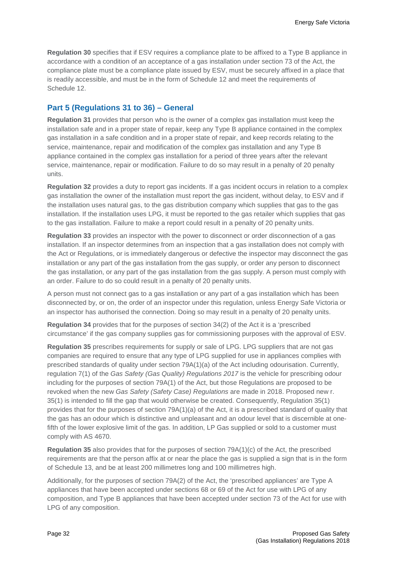**Regulation 30** specifies that if ESV requires a compliance plate to be affixed to a Type B appliance in accordance with a condition of an acceptance of a gas installation under section 73 of the Act, the compliance plate must be a compliance plate issued by ESV, must be securely affixed in a place that is readily accessible, and must be in the form of Schedule 12 and meet the requirements of Schedule 12.

# **Part 5 (Regulations 31 to 36) – General**

**Regulation 31** provides that person who is the owner of a complex gas installation must keep the installation safe and in a proper state of repair, keep any Type B appliance contained in the complex gas installation in a safe condition and in a proper state of repair, and keep records relating to the service, maintenance, repair and modification of the complex gas installation and any Type B appliance contained in the complex gas installation for a period of three years after the relevant service, maintenance, repair or modification. Failure to do so may result in a penalty of 20 penalty units.

**Regulation 32** provides a duty to report gas incidents. If a gas incident occurs in relation to a complex gas installation the owner of the installation must report the gas incident, without delay, to ESV and if the installation uses natural gas, to the gas distribution company which supplies that gas to the gas installation. If the installation uses LPG, it must be reported to the gas retailer which supplies that gas to the gas installation. Failure to make a report could result in a penalty of 20 penalty units.

**Regulation 33** provides an inspector with the power to disconnect or order disconnection of a gas installation. If an inspector determines from an inspection that a gas installation does not comply with the Act or Regulations, or is immediately dangerous or defective the inspector may disconnect the gas installation or any part of the gas installation from the gas supply, or order any person to disconnect the gas installation, or any part of the gas installation from the gas supply. A person must comply with an order. Failure to do so could result in a penalty of 20 penalty units.

A person must not connect gas to a gas installation or any part of a gas installation which has been disconnected by, or on, the order of an inspector under this regulation, unless Energy Safe Victoria or an inspector has authorised the connection. Doing so may result in a penalty of 20 penalty units.

**Regulation 34** provides that for the purposes of section 34(2) of the Act it is a 'prescribed circumstance' if the gas company supplies gas for commissioning purposes with the approval of ESV.

**Regulation 35** prescribes requirements for supply or sale of LPG. LPG suppliers that are not gas companies are required to ensure that any type of LPG supplied for use in appliances complies with prescribed standards of quality under section 79A(1)(a) of the Act including odourisation. Currently, regulation 7(1) of the *Gas Safety (Gas Quality) Regulations 2017* is the vehicle for prescribing odour including for the purposes of section 79A(1) of the Act, but those Regulations are proposed to be revoked when the new *Gas Safety (Safety Case) Regulations* are made in 2018. Proposed new r. 35(1) is intended to fill the gap that would otherwise be created. Consequently, Regulation 35(1) provides that for the purposes of section 79A(1)(a) of the Act, it is a prescribed standard of quality that the gas has an odour which is distinctive and unpleasant and an odour level that is discernible at onefifth of the lower explosive limit of the gas. In addition, LP Gas supplied or sold to a customer must comply with AS 4670.

**Regulation 35** also provides that for the purposes of section 79A(1)(c) of the Act, the prescribed requirements are that the person affix at or near the place the gas is supplied a sign that is in the form of Schedule 13, and be at least 200 millimetres long and 100 millimetres high.

Additionally, for the purposes of section 79A(2) of the Act, the 'prescribed appliances' are Type A appliances that have been accepted under sections 68 or 69 of the Act for use with LPG of any composition, and Type B appliances that have been accepted under section 73 of the Act for use with LPG of any composition.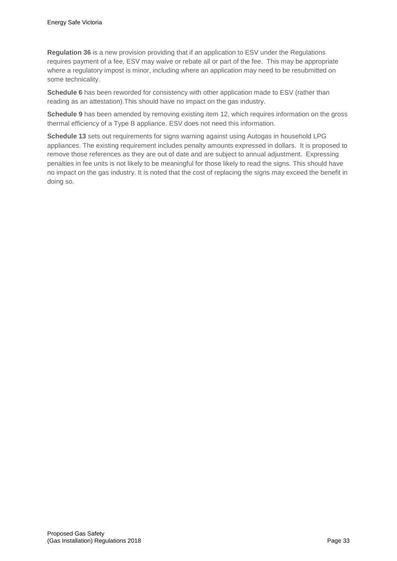**Regulation 36** is a new provision providing that if an application to ESV under the Regulations requires payment of a fee, ESV may waive or rebate all or part of the fee. This may be appropriate where a regulatory impost is minor, including where an application may need to be resubmitted on some technicality.

**Schedule 6** has been reworded for consistency with other application made to ESV (rather than reading as an attestation).This should have no impact on the gas industry.

**Schedule 9** has been amended by removing existing item 12, which requires information on the gross thermal efficiency of a Type B appliance. ESV does not need this information.

**Schedule 13** sets out requirements for signs warning against using Autogas in household LPG appliances. The existing requirement includes penalty amounts expressed in dollars. It is proposed to remove those references as they are out of date and are subject to annual adjustment. Expressing penalties in fee units is not likely to be meaningful for those likely to read the signs. This should have no impact on the gas industry. It is noted that the cost of replacing the signs may exceed the benefit in doing so.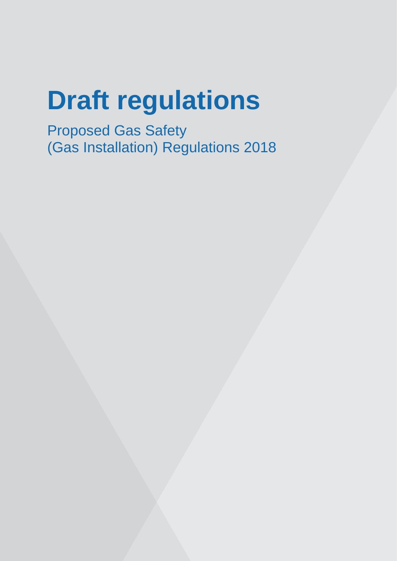# **Draft regulations**

Proposed Gas Safety (Gas Installation) Regulations 2018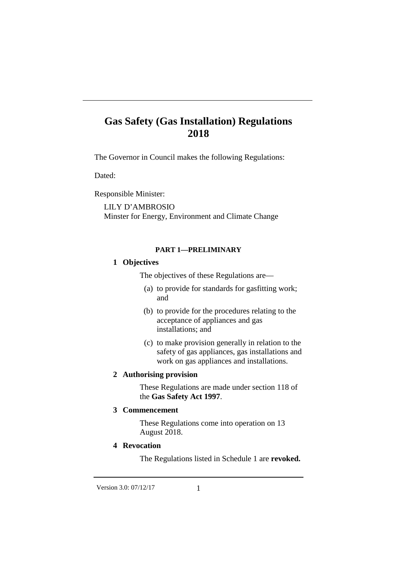The Governor in Council makes the following Regulations:

Dated:

Responsible Minister:

LILY D'AMBROSIO Minster for Energy, Environment and Climate Change

#### **PART 1—PRELIMINARY**

#### **1 Objectives**

The objectives of these Regulations are—

- (a) to provide for standards for gasfitting work; and
- (b) to provide for the procedures relating to the acceptance of appliances and gas installations; and
- (c) to make provision generally in relation to the safety of gas appliances, gas installations and work on gas appliances and installations.

### **2 Authorising provision**

These Regulations are made under section 118 of the **Gas Safety Act 1997**.

#### **3 Commencement**

These Regulations come into operation on 13 August 2018.

### **4 Revocation**

The Regulations listed in Schedule 1 are **revoked.**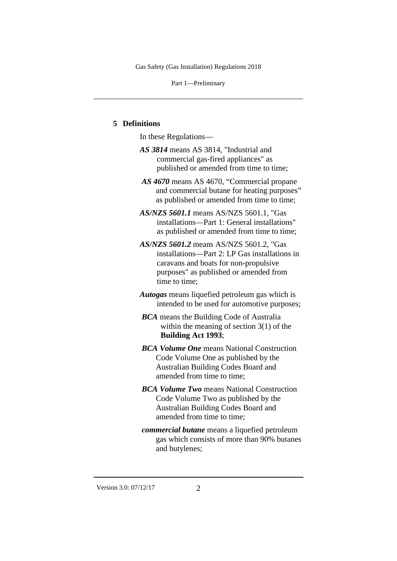Part 1—Preliminary

#### **5 Definitions**

In these Regulations—

- *AS 3814* means AS 3814, "Industrial and commercial gas-fired appliances" as published or amended from time to time;
- *AS 4670* means AS 4670, "Commercial propane and commercial butane for heating purposes" as published or amended from time to time;
- *AS/NZS 5601.1* means AS/NZS 5601.1, "Gas installations—Part 1: General installations" as published or amended from time to time;
- *AS/NZS 5601.2* means AS/NZS 5601.2, "Gas installations—Part 2: LP Gas installations in caravans and boats for non-propulsive purposes" as published or amended from time to time;
- *Autogas* means liquefied petroleum gas which is intended to be used for automotive purposes;
- *BCA* means the Building Code of Australia within the meaning of section 3(1) of the **Building Act 1993**;
- *BCA Volume One* means National Construction Code Volume One as published by the Australian Building Codes Board and amended from time to time;
- *BCA Volume Two* means National Construction Code Volume Two as published by the Australian Building Codes Board and amended from time to time;
- *commercial butane* means a liquefied petroleum gas which consists of more than 90% butanes and butylenes;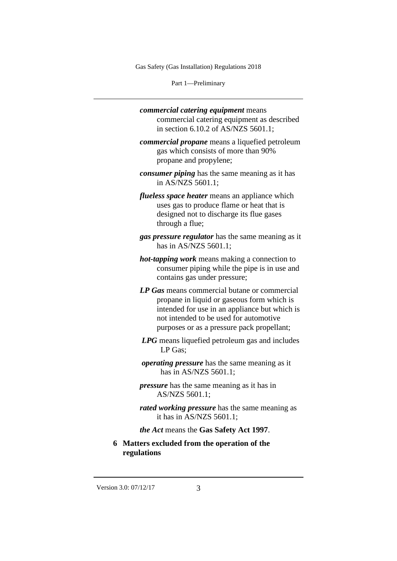Part 1—Preliminary

- *commercial catering equipment* means commercial catering equipment as described in section 6.10.2 of AS/NZS 5601.1;
- *commercial propane* means a liquefied petroleum gas which consists of more than 90% propane and propylene;
- *consumer piping* has the same meaning as it has in AS/NZS 5601.1;
- *flueless space heater* means an appliance which uses gas to produce flame or heat that is designed not to discharge its flue gases through a flue;
- *gas pressure regulator* has the same meaning as it has in AS/NZS 5601.1;
- *hot-tapping work* means making a connection to consumer piping while the pipe is in use and contains gas under pressure;
- *LP Gas* means commercial butane or commercial propane in liquid or gaseous form which is intended for use in an appliance but which is not intended to be used for automotive purposes or as a pressure pack propellant;
- *LPG* means liquefied petroleum gas and includes LP Gas;
- *operating pressure* has the same meaning as it has in AS/NZS 5601.1;
- *pressure* has the same meaning as it has in AS/NZS 5601.1;
- *rated working pressure* has the same meaning as it has in AS/NZS 5601.1;
- *the Act* means the **Gas Safety Act 1997**.
- **6 Matters excluded from the operation of the regulations**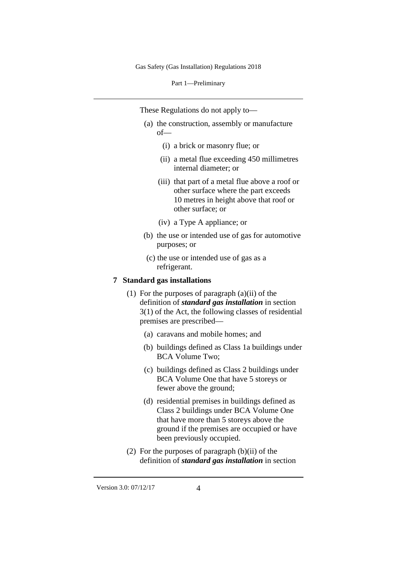Part 1—Preliminary

These Regulations do not apply to—

- (a) the construction, assembly or manufacture of—
	- (i) a brick or masonry flue; or
	- (ii) a metal flue exceeding 450 millimetres internal diameter; or
	- (iii) that part of a metal flue above a roof or other surface where the part exceeds 10 metres in height above that roof or other surface; or
	- (iv) a Type A appliance; or
- (b) the use or intended use of gas for automotive purposes; or
- (c) the use or intended use of gas as a refrigerant.

#### **7 Standard gas installations**

- (1) For the purposes of paragraph (a)(ii) of the definition of *standard gas installation* in section 3(1) of the Act, the following classes of residential premises are prescribed—
	- (a) caravans and mobile homes; and
	- (b) buildings defined as Class 1a buildings under BCA Volume Two;
	- (c) buildings defined as Class 2 buildings under BCA Volume One that have 5 storeys or fewer above the ground;
	- (d) residential premises in buildings defined as Class 2 buildings under BCA Volume One that have more than 5 storeys above the ground if the premises are occupied or have been previously occupied.
- (2) For the purposes of paragraph (b)(ii) of the definition of *standard gas installation* in section

Version 3.0: 07/12/17 4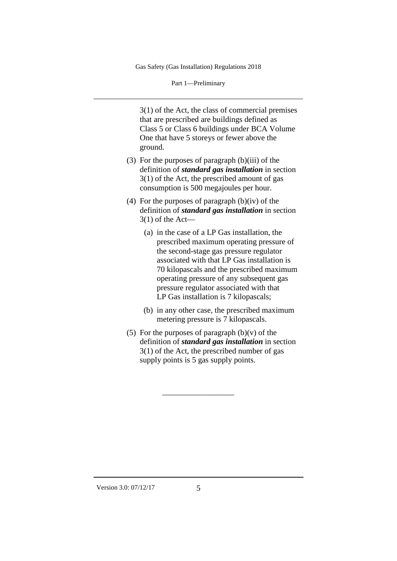Part 1—Preliminary

3(1) of the Act, the class of commercial premises that are prescribed are buildings defined as Class 5 or Class 6 buildings under BCA Volume One that have 5 storeys or fewer above the ground.

- (3) For the purposes of paragraph (b)(iii) of the definition of *standard gas installation* in section 3(1) of the Act, the prescribed amount of gas consumption is 500 megajoules per hour.
- (4) For the purposes of paragraph  $(b)(iv)$  of the definition of *standard gas installation* in section 3(1) of the Act—
	- (a) in the case of a LP Gas installation, the prescribed maximum operating pressure of the second-stage gas pressure regulator associated with that LP Gas installation is 70 kilopascals and the prescribed maximum operating pressure of any subsequent gas pressure regulator associated with that LP Gas installation is 7 kilopascals;
	- (b) in any other case, the prescribed maximum metering pressure is 7 kilopascals.
- (5) For the purposes of paragraph  $(b)(v)$  of the definition of *standard gas installation* in section 3(1) of the Act, the prescribed number of gas supply points is 5 gas supply points.

\_\_\_\_\_\_\_\_\_\_\_\_\_\_\_\_\_\_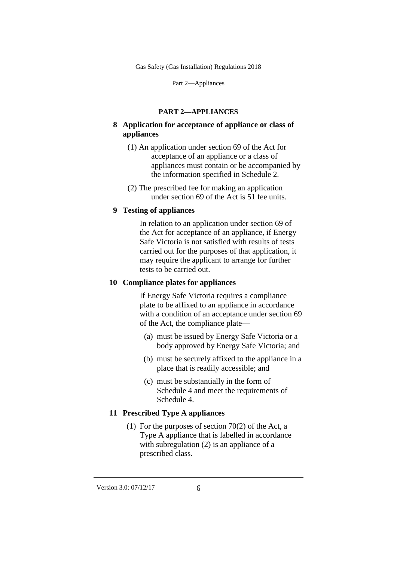Part 2—Appliances

#### **PART 2—APPLIANCES**

- **8 Application for acceptance of appliance or class of appliances**
	- (1) An application under section 69 of the Act for acceptance of an appliance or a class of appliances must contain or be accompanied by the information specified in Schedule 2.
	- (2) The prescribed fee for making an application under section 69 of the Act is 51 fee units.

## **9 Testing of appliances**

In relation to an application under section 69 of the Act for acceptance of an appliance, if Energy Safe Victoria is not satisfied with results of tests carried out for the purposes of that application, it may require the applicant to arrange for further tests to be carried out.

## **10 Compliance plates for appliances**

If Energy Safe Victoria requires a compliance plate to be affixed to an appliance in accordance with a condition of an acceptance under section 69 of the Act, the compliance plate—

- (a) must be issued by Energy Safe Victoria or a body approved by Energy Safe Victoria; and
- (b) must be securely affixed to the appliance in a place that is readily accessible; and
- (c) must be substantially in the form of Schedule 4 and meet the requirements of Schedule 4.

## **11 Prescribed Type A appliances**

(1) For the purposes of section 70(2) of the Act, a Type A appliance that is labelled in accordance with subregulation (2) is an appliance of a prescribed class.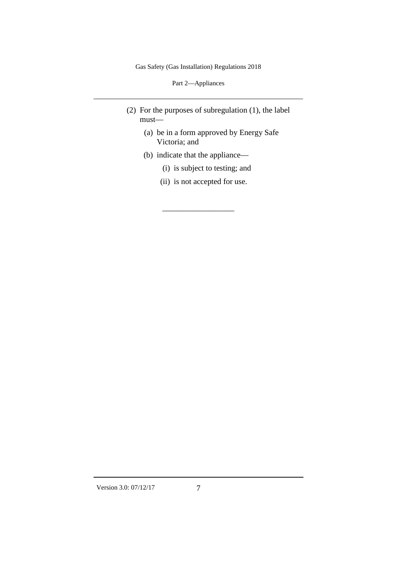Part 2—Appliances

- (2) For the purposes of subregulation (1), the label must—
	- (a) be in a form approved by Energy Safe Victoria; and
	- (b) indicate that the appliance—
		- (i) is subject to testing; and
		- (ii) is not accepted for use.

\_\_\_\_\_\_\_\_\_\_\_\_\_\_\_\_\_\_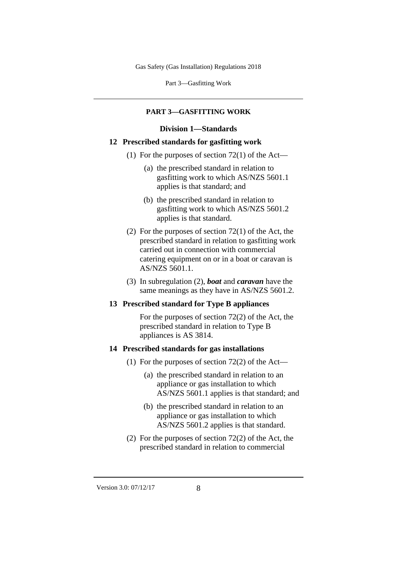Part 3—Gasfitting Work

### **PART 3—GASFITTING WORK**

#### **Division 1—Standards**

#### **12 Prescribed standards for gasfitting work**

- (1) For the purposes of section  $72(1)$  of the Act—
	- (a) the prescribed standard in relation to gasfitting work to which AS/NZS 5601.1 applies is that standard; and
	- (b) the prescribed standard in relation to gasfitting work to which AS/NZS 5601.2 applies is that standard.
- (2) For the purposes of section 72(1) of the Act, the prescribed standard in relation to gasfitting work carried out in connection with commercial catering equipment on or in a boat or caravan is AS/NZS 5601.1.
- (3) In subregulation (2), *boat* and *caravan* have the same meanings as they have in AS/NZS 5601.2.

## **13 Prescribed standard for Type B appliances**

For the purposes of section 72(2) of the Act, the prescribed standard in relation to Type B appliances is AS 3814.

#### **14 Prescribed standards for gas installations**

- (1) For the purposes of section  $72(2)$  of the Act—
	- (a) the prescribed standard in relation to an appliance or gas installation to which AS/NZS 5601.1 applies is that standard; and
	- (b) the prescribed standard in relation to an appliance or gas installation to which AS/NZS 5601.2 applies is that standard.
- (2) For the purposes of section 72(2) of the Act, the prescribed standard in relation to commercial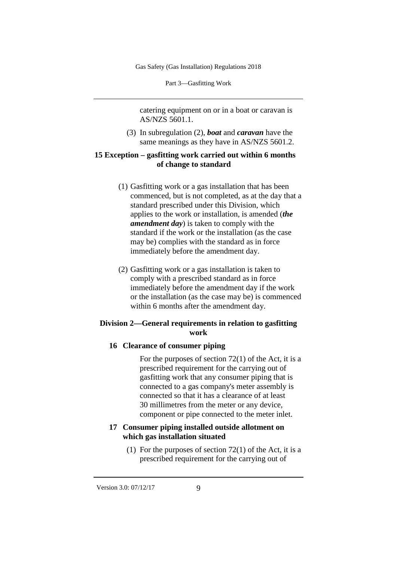Part 3—Gasfitting Work

catering equipment on or in a boat or caravan is AS/NZS 5601.1.

(3) In subregulation (2), *boat* and *caravan* have the same meanings as they have in AS/NZS 5601.2.

#### **15 Exception – gasfitting work carried out within 6 months of change to standard**

- (1) Gasfitting work or a gas installation that has been commenced, but is not completed, as at the day that a standard prescribed under this Division, which applies to the work or installation, is amended (*the amendment day*) is taken to comply with the standard if the work or the installation (as the case may be) complies with the standard as in force immediately before the amendment day.
- (2) Gasfitting work or a gas installation is taken to comply with a prescribed standard as in force immediately before the amendment day if the work or the installation (as the case may be) is commenced within 6 months after the amendment day.

## **Division 2—General requirements in relation to gasfitting work**

## **16 Clearance of consumer piping**

For the purposes of section 72(1) of the Act, it is a prescribed requirement for the carrying out of gasfitting work that any consumer piping that is connected to a gas company's meter assembly is connected so that it has a clearance of at least 30 millimetres from the meter or any device, component or pipe connected to the meter inlet.

## **17 Consumer piping installed outside allotment on which gas installation situated**

(1) For the purposes of section  $72(1)$  of the Act, it is a prescribed requirement for the carrying out of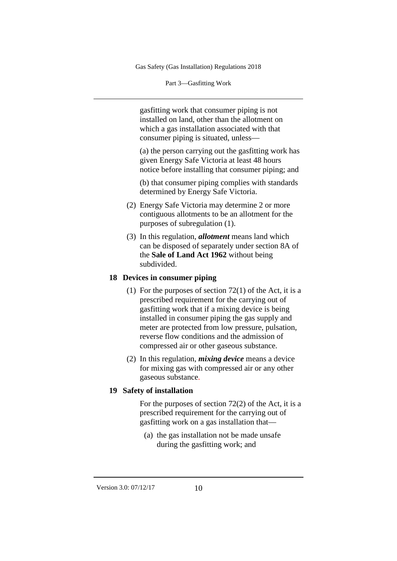Part 3—Gasfitting Work

gasfitting work that consumer piping is not installed on land, other than the allotment on which a gas installation associated with that consumer piping is situated, unless—

(a) the person carrying out the gasfitting work has given Energy Safe Victoria at least 48 hours notice before installing that consumer piping; and

(b) that consumer piping complies with standards determined by Energy Safe Victoria.

- (2) Energy Safe Victoria may determine 2 or more contiguous allotments to be an allotment for the purposes of subregulation (1).
- (3) In this regulation, *allotment* means land which can be disposed of separately under section 8A of the **Sale of Land Act 1962** without being subdivided.

#### **18 Devices in consumer piping**

- (1) For the purposes of section 72(1) of the Act, it is a prescribed requirement for the carrying out of gasfitting work that if a mixing device is being installed in consumer piping the gas supply and meter are protected from low pressure, pulsation, reverse flow conditions and the admission of compressed air or other gaseous substance.
- (2) In this regulation, *mixing device* means a device for mixing gas with compressed air or any other gaseous substance.

#### **19 Safety of installation**

For the purposes of section 72(2) of the Act, it is a prescribed requirement for the carrying out of gasfitting work on a gas installation that—

(a) the gas installation not be made unsafe during the gasfitting work; and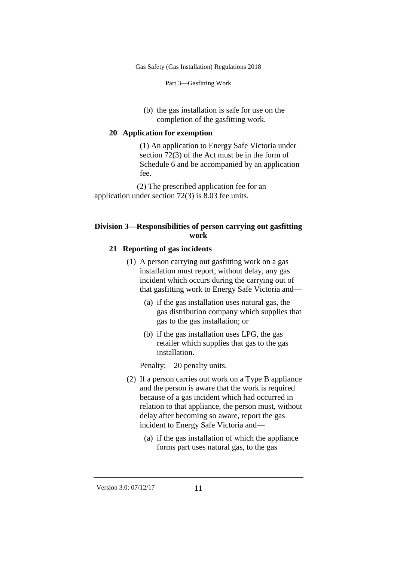Part 3—Gasfitting Work

(b) the gas installation is safe for use on the completion of the gasfitting work.

#### **20 Application for exemption**

(1) An application to Energy Safe Victoria under section 72(3) of the Act must be in the form of Schedule 6 and be accompanied by an application fee.

(2) The prescribed application fee for an application under section 72(3) is 8.03 fee units.

### **Division 3—Responsibilities of person carrying out gasfitting work**

#### **21 Reporting of gas incidents**

- (1) A person carrying out gasfitting work on a gas installation must report, without delay, any gas incident which occurs during the carrying out of that gasfitting work to Energy Safe Victoria and—
	- (a) if the gas installation uses natural gas, the gas distribution company which supplies that gas to the gas installation; or
	- (b) if the gas installation uses LPG, the gas retailer which supplies that gas to the gas installation.

Penalty: 20 penalty units.

- (2) If a person carries out work on a Type B appliance and the person is aware that the work is required because of a gas incident which had occurred in relation to that appliance, the person must, without delay after becoming so aware, report the gas incident to Energy Safe Victoria and—
	- (a) if the gas installation of which the appliance forms part uses natural gas, to the gas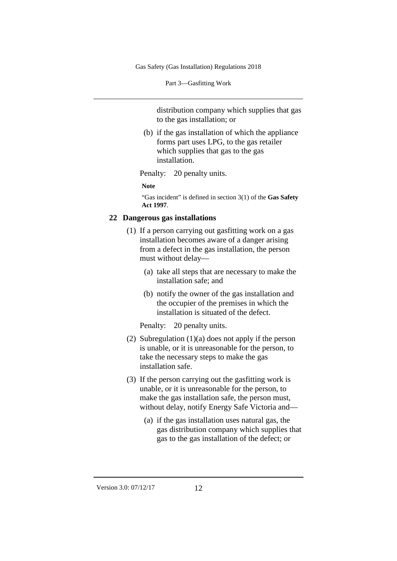Part 3—Gasfitting Work

distribution company which supplies that gas to the gas installation; or

(b) if the gas installation of which the appliance forms part uses LPG, to the gas retailer which supplies that gas to the gas installation.

Penalty: 20 penalty units.

**Note**

"Gas incident" is defined in section 3(1) of the **Gas Safety Act 1997**.

## **22 Dangerous gas installations**

- (1) If a person carrying out gasfitting work on a gas installation becomes aware of a danger arising from a defect in the gas installation, the person must without delay—
	- (a) take all steps that are necessary to make the installation safe; and
	- (b) notify the owner of the gas installation and the occupier of the premises in which the installation is situated of the defect.

Penalty: 20 penalty units.

- (2) Subregulation (1)(a) does not apply if the person is unable, or it is unreasonable for the person, to take the necessary steps to make the gas installation safe.
- (3) If the person carrying out the gasfitting work is unable, or it is unreasonable for the person, to make the gas installation safe, the person must, without delay, notify Energy Safe Victoria and—
	- (a) if the gas installation uses natural gas, the gas distribution company which supplies that gas to the gas installation of the defect; or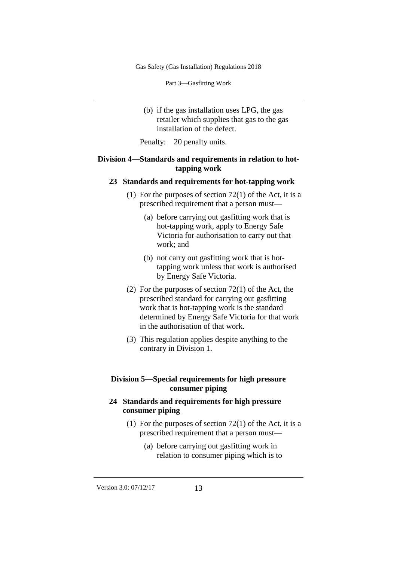Part 3—Gasfitting Work

- (b) if the gas installation uses LPG, the gas retailer which supplies that gas to the gas installation of the defect.
- Penalty: 20 penalty units.

#### **Division 4—Standards and requirements in relation to hottapping work**

#### **23 Standards and requirements for hot-tapping work**

- (1) For the purposes of section  $72(1)$  of the Act, it is a prescribed requirement that a person must—
	- (a) before carrying out gasfitting work that is hot-tapping work, apply to Energy Safe Victoria for authorisation to carry out that work; and
	- (b) not carry out gasfitting work that is hottapping work unless that work is authorised by Energy Safe Victoria.
- (2) For the purposes of section 72(1) of the Act, the prescribed standard for carrying out gasfitting work that is hot-tapping work is the standard determined by Energy Safe Victoria for that work in the authorisation of that work.
- (3) This regulation applies despite anything to the contrary in Division 1.

## **Division 5—Special requirements for high pressure consumer piping**

## **24 Standards and requirements for high pressure consumer piping**

- (1) For the purposes of section  $72(1)$  of the Act, it is a prescribed requirement that a person must—
	- (a) before carrying out gasfitting work in relation to consumer piping which is to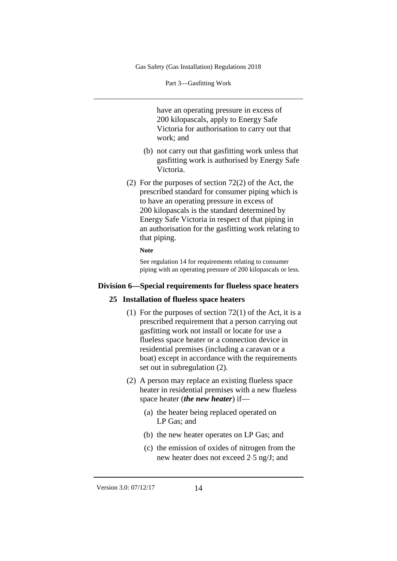Part 3—Gasfitting Work

have an operating pressure in excess of 200 kilopascals, apply to Energy Safe Victoria for authorisation to carry out that work; and

- (b) not carry out that gasfitting work unless that gasfitting work is authorised by Energy Safe Victoria.
- (2) For the purposes of section 72(2) of the Act, the prescribed standard for consumer piping which is to have an operating pressure in excess of 200 kilopascals is the standard determined by Energy Safe Victoria in respect of that piping in an authorisation for the gasfitting work relating to that piping.

#### **Note**

See regulation 14 for requirements relating to consumer piping with an operating pressure of 200 kilopascals or less.

#### **Division 6—Special requirements for flueless space heaters**

#### **25 Installation of flueless space heaters**

- (1) For the purposes of section  $72(1)$  of the Act, it is a prescribed requirement that a person carrying out gasfitting work not install or locate for use a flueless space heater or a connection device in residential premises (including a caravan or a boat) except in accordance with the requirements set out in subregulation (2).
- (2) A person may replace an existing flueless space heater in residential premises with a new flueless space heater (*the new heater*) if—
	- (a) the heater being replaced operated on LP Gas; and
	- (b) the new heater operates on LP Gas; and
	- (c) the emission of oxides of nitrogen from the new heater does not exceed 2⋅5 ng/J; and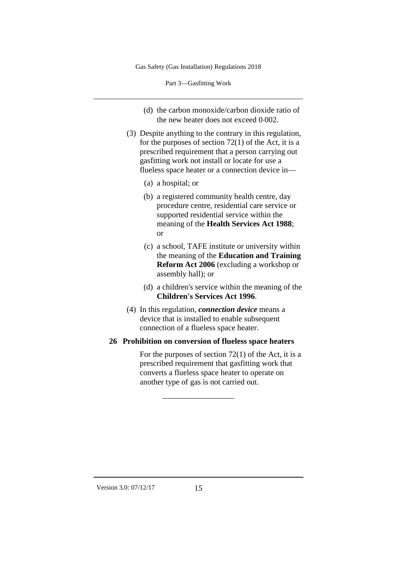Part 3—Gasfitting Work

- (d) the carbon monoxide/carbon dioxide ratio of the new heater does not exceed 0⋅002.
- (3) Despite anything to the contrary in this regulation, for the purposes of section  $72(1)$  of the Act, it is a prescribed requirement that a person carrying out gasfitting work not install or locate for use a flueless space heater or a connection device in—
	- (a) a hospital; or
	- (b) a registered community health centre, day procedure centre, residential care service or supported residential service within the meaning of the **Health Services Act 1988**; or
	- (c) a school, TAFE institute or university within the meaning of the **Education and Training Reform Act 2006** (excluding a workshop or assembly hall); or
	- (d) a children's service within the meaning of the **Children's Services Act 1996**.
- (4) In this regulation, *connection device* means a device that is installed to enable subsequent connection of a flueless space heater.

### **26 Prohibition on conversion of flueless space heaters**

 $\overline{\phantom{a}}$  , where  $\overline{\phantom{a}}$ 

For the purposes of section 72(1) of the Act, it is a prescribed requirement that gasfitting work that converts a flueless space heater to operate on another type of gas is not carried out.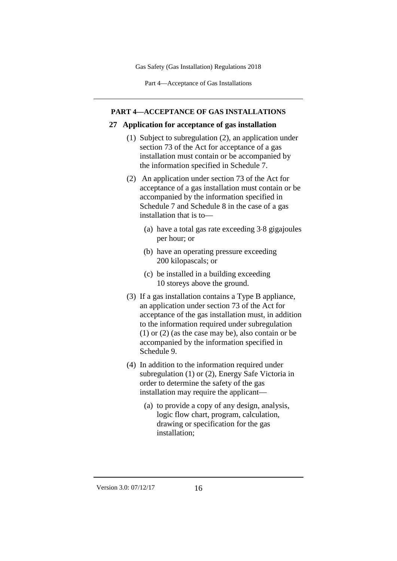Part 4—Acceptance of Gas Installations

#### **PART 4—ACCEPTANCE OF GAS INSTALLATIONS**

#### **27 Application for acceptance of gas installation**

- (1) Subject to subregulation (2), an application under section 73 of the Act for acceptance of a gas installation must contain or be accompanied by the information specified in Schedule 7.
- (2) An application under section 73 of the Act for acceptance of a gas installation must contain or be accompanied by the information specified in Schedule 7 and Schedule 8 in the case of a gas installation that is to—
	- (a) have a total gas rate exceeding 3⋅8 gigajoules per hour; or
	- (b) have an operating pressure exceeding 200 kilopascals; or
	- (c) be installed in a building exceeding 10 storeys above the ground.
- (3) If a gas installation contains a Type B appliance, an application under section 73 of the Act for acceptance of the gas installation must, in addition to the information required under subregulation (1) or (2) (as the case may be), also contain or be accompanied by the information specified in Schedule 9.
- (4) In addition to the information required under subregulation (1) or (2), Energy Safe Victoria in order to determine the safety of the gas installation may require the applicant—
	- (a) to provide a copy of any design, analysis, logic flow chart, program, calculation, drawing or specification for the gas installation;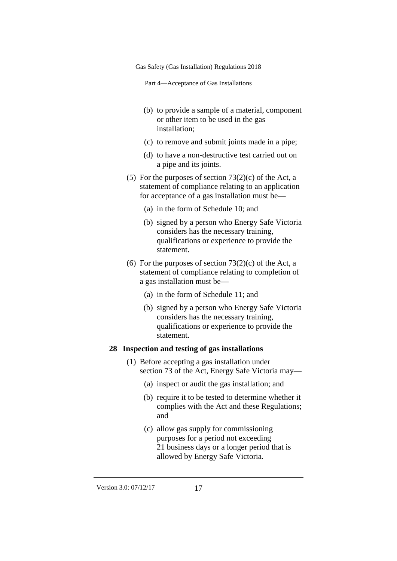Part 4—Acceptance of Gas Installations

- (b) to provide a sample of a material, component or other item to be used in the gas installation;
- (c) to remove and submit joints made in a pipe;
- (d) to have a non-destructive test carried out on a pipe and its joints.
- (5) For the purposes of section  $73(2)(c)$  of the Act, a statement of compliance relating to an application for acceptance of a gas installation must be—
	- (a) in the form of Schedule 10; and
	- (b) signed by a person who Energy Safe Victoria considers has the necessary training, qualifications or experience to provide the statement.
- (6) For the purposes of section  $73(2)(c)$  of the Act, a statement of compliance relating to completion of a gas installation must be—
	- (a) in the form of Schedule 11; and
	- (b) signed by a person who Energy Safe Victoria considers has the necessary training, qualifications or experience to provide the statement.

## **28 Inspection and testing of gas installations**

- (1) Before accepting a gas installation under section 73 of the Act, Energy Safe Victoria may—
	- (a) inspect or audit the gas installation; and
	- (b) require it to be tested to determine whether it complies with the Act and these Regulations; and
	- (c) allow gas supply for commissioning purposes for a period not exceeding 21 business days or a longer period that is allowed by Energy Safe Victoria.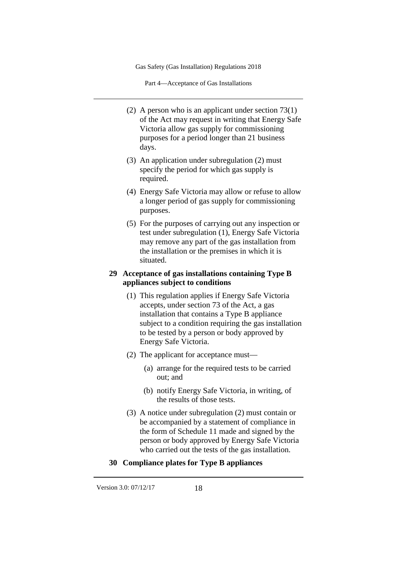Part 4—Acceptance of Gas Installations

- (2) A person who is an applicant under section 73(1) of the Act may request in writing that Energy Safe Victoria allow gas supply for commissioning purposes for a period longer than 21 business days.
- (3) An application under subregulation (2) must specify the period for which gas supply is required.
- (4) Energy Safe Victoria may allow or refuse to allow a longer period of gas supply for commissioning purposes.
- (5) For the purposes of carrying out any inspection or test under subregulation (1), Energy Safe Victoria may remove any part of the gas installation from the installation or the premises in which it is situated.

## **29 Acceptance of gas installations containing Type B appliances subject to conditions**

- (1) This regulation applies if Energy Safe Victoria accepts, under section 73 of the Act, a gas installation that contains a Type B appliance subject to a condition requiring the gas installation to be tested by a person or body approved by Energy Safe Victoria.
- (2) The applicant for acceptance must—
	- (a) arrange for the required tests to be carried out; and
	- (b) notify Energy Safe Victoria, in writing, of the results of those tests.
- (3) A notice under subregulation (2) must contain or be accompanied by a statement of compliance in the form of Schedule 11 made and signed by the person or body approved by Energy Safe Victoria who carried out the tests of the gas installation.

## **30 Compliance plates for Type B appliances**

Version 3.0: 07/12/17 18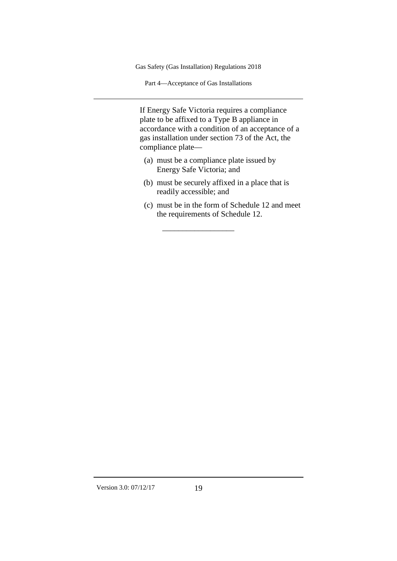Part 4—Acceptance of Gas Installations

If Energy Safe Victoria requires a compliance plate to be affixed to a Type B appliance in accordance with a condition of an acceptance of a gas installation under section 73 of the Act, the compliance plate—

(a) must be a compliance plate issued by Energy Safe Victoria; and

 $\overline{\phantom{a}}$  , where  $\overline{\phantom{a}}$ 

- (b) must be securely affixed in a place that is readily accessible; and
- (c) must be in the form of Schedule 12 and meet the requirements of Schedule 12.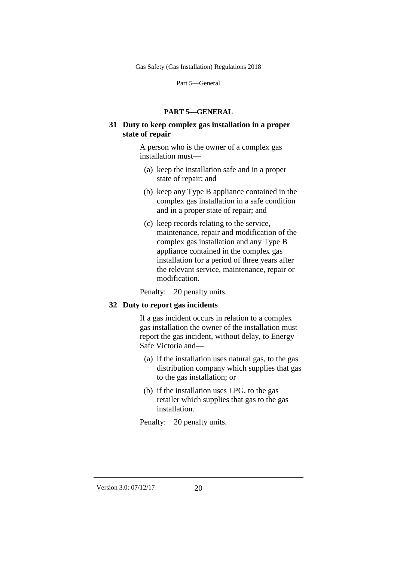Part 5—General

#### **PART 5—GENERAL**

## **31 Duty to keep complex gas installation in a proper state of repair**

A person who is the owner of a complex gas installation must—

- (a) keep the installation safe and in a proper state of repair; and
- (b) keep any Type B appliance contained in the complex gas installation in a safe condition and in a proper state of repair; and
- (c) keep records relating to the service, maintenance, repair and modification of the complex gas installation and any Type B appliance contained in the complex gas installation for a period of three years after the relevant service, maintenance, repair or modification.

Penalty: 20 penalty units.

#### **32 Duty to report gas incidents**

If a gas incident occurs in relation to a complex gas installation the owner of the installation must report the gas incident, without delay, to Energy Safe Victoria and—

- (a) if the installation uses natural gas, to the gas distribution company which supplies that gas to the gas installation; or
- (b) if the installation uses LPG, to the gas retailer which supplies that gas to the gas installation.

Penalty: 20 penalty units.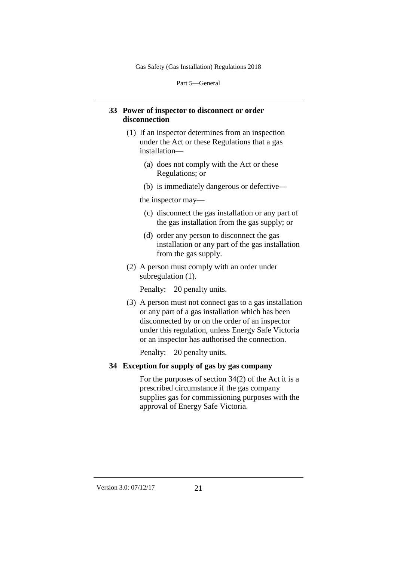Part 5—General

## **33 Power of inspector to disconnect or order disconnection**

- (1) If an inspector determines from an inspection under the Act or these Regulations that a gas installation—
	- (a) does not comply with the Act or these Regulations; or
	- (b) is immediately dangerous or defective—

the inspector may—

- (c) disconnect the gas installation or any part of the gas installation from the gas supply; or
- (d) order any person to disconnect the gas installation or any part of the gas installation from the gas supply.
- (2) A person must comply with an order under subregulation (1).

Penalty: 20 penalty units.

(3) A person must not connect gas to a gas installation or any part of a gas installation which has been disconnected by or on the order of an inspector under this regulation, unless Energy Safe Victoria or an inspector has authorised the connection.

Penalty: 20 penalty units.

## **34 Exception for supply of gas by gas company**

For the purposes of section 34(2) of the Act it is a prescribed circumstance if the gas company supplies gas for commissioning purposes with the approval of Energy Safe Victoria.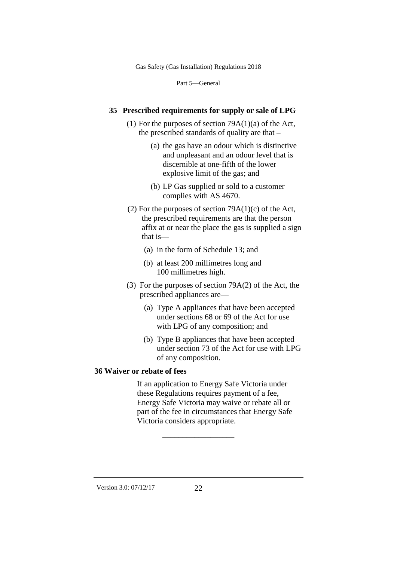Part 5—General

## **35 Prescribed requirements for supply or sale of LPG**

- (1) For the purposes of section  $79A(1)(a)$  of the Act, the prescribed standards of quality are that –
	- (a) the gas have an odour which is distinctive and unpleasant and an odour level that is discernible at one-fifth of the lower explosive limit of the gas; and
	- (b) LP Gas supplied or sold to a customer complies with AS 4670.
- (2) For the purposes of section  $79A(1)(c)$  of the Act, the prescribed requirements are that the person affix at or near the place the gas is supplied a sign that is—
	- (a) in the form of Schedule 13; and
	- (b) at least 200 millimetres long and 100 millimetres high.
- (3) For the purposes of section 79A(2) of the Act, the prescribed appliances are—
	- (a) Type A appliances that have been accepted under sections 68 or 69 of the Act for use with LPG of any composition; and
	- (b) Type B appliances that have been accepted under section 73 of the Act for use with LPG of any composition.

#### **36 Waiver or rebate of fees**

If an application to Energy Safe Victoria under these Regulations requires payment of a fee, Energy Safe Victoria may waive or rebate all or part of the fee in circumstances that Energy Safe Victoria considers appropriate.

 $\overline{\phantom{a}}$  , where  $\overline{\phantom{a}}$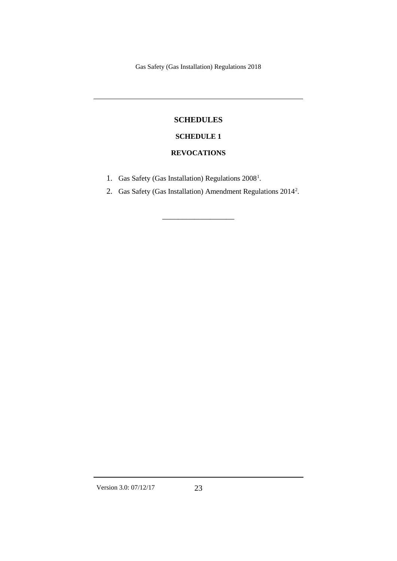## **SCHEDULES**

# **SCHEDULE 1**

## **REVOCATIONS**

- [1](#page-70-0). Gas Safety (Gas Installation) Regulations 2008<sup>1</sup>.
- [2](#page-70-1). Gas Safety (Gas Installation) Amendment Regulations 2014<sup>2</sup>.

 $\overline{\phantom{a}}$  , where  $\overline{\phantom{a}}$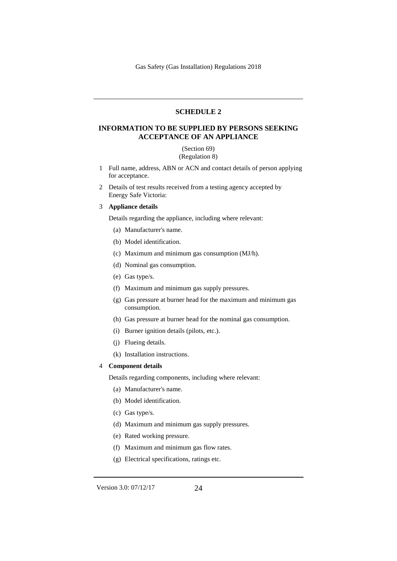#### **SCHEDULE 2**

#### **INFORMATION TO BE SUPPLIED BY PERSONS SEEKING ACCEPTANCE OF AN APPLIANCE**

(Section 69) (Regulation 8)

- 1 Full name, address, ABN or ACN and contact details of person applying for acceptance.
- 2 Details of test results received from a testing agency accepted by Energy Safe Victoria:

#### 3 **Appliance details**

Details regarding the appliance, including where relevant:

- (a) Manufacturer's name.
- (b) Model identification.
- (c) Maximum and minimum gas consumption (MJ/h).
- (d) Nominal gas consumption.
- (e) Gas type/s.
- (f) Maximum and minimum gas supply pressures.
- (g) Gas pressure at burner head for the maximum and minimum gas consumption.
- (h) Gas pressure at burner head for the nominal gas consumption.
- (i) Burner ignition details (pilots, etc.).
- (j) Flueing details.
- (k) Installation instructions.

#### 4 **Component details**

Details regarding components, including where relevant:

- (a) Manufacturer's name.
- (b) Model identification.
- (c) Gas type/s.
- (d) Maximum and minimum gas supply pressures.
- (e) Rated working pressure.
- (f) Maximum and minimum gas flow rates.
- (g) Electrical specifications, ratings etc.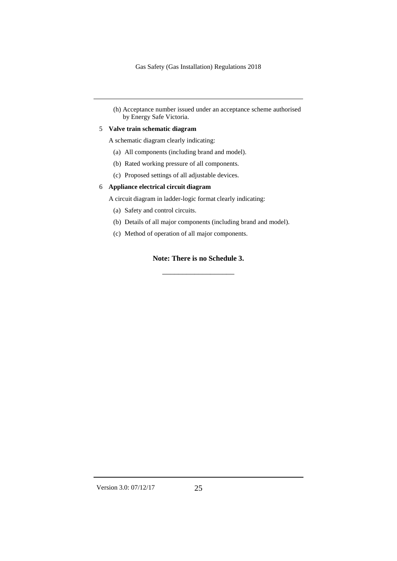(h) Acceptance number issued under an acceptance scheme authorised by Energy Safe Victoria.

#### 5 **Valve train schematic diagram**

A schematic diagram clearly indicating:

- (a) All components (including brand and model).
- (b) Rated working pressure of all components.
- (c) Proposed settings of all adjustable devices.

#### 6 **Appliance electrical circuit diagram**

A circuit diagram in ladder-logic format clearly indicating:

- (a) Safety and control circuits.
- (b) Details of all major components (including brand and model).
- (c) Method of operation of all major components.

#### **Note: There is no Schedule 3.**

 $\overline{\phantom{a}}$  , where  $\overline{\phantom{a}}$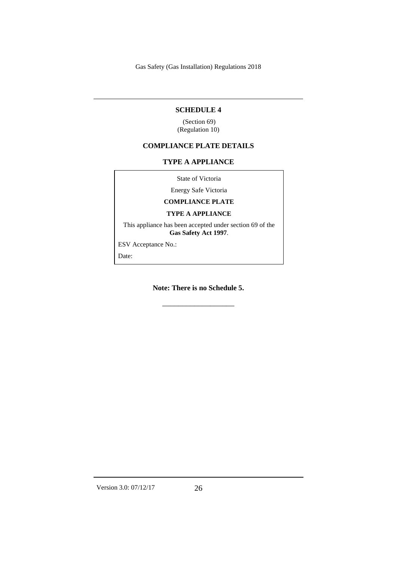#### **SCHEDULE 4**

(Section 69) (Regulation 10)

#### **COMPLIANCE PLATE DETAILS**

#### **TYPE A APPLIANCE**

State of Victoria

Energy Safe Victoria

**COMPLIANCE PLATE**

#### **TYPE A APPLIANCE**

This appliance has been accepted under section 69 of the **Gas Safety Act 1997**.

ESV Acceptance No.:

Date:

**Note: There is no Schedule 5.**

 $\overline{\phantom{a}}$  , where  $\overline{\phantom{a}}$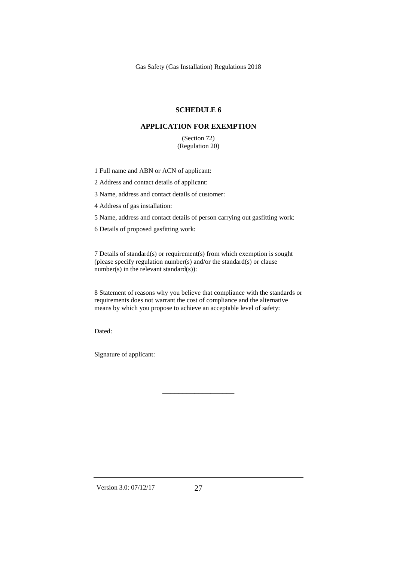#### **SCHEDULE 6**

#### **APPLICATION FOR EXEMPTION**

(Section 72) (Regulation 20)

1 Full name and ABN or ACN of applicant:

2 Address and contact details of applicant:

3 Name, address and contact details of customer:

4 Address of gas installation:

5 Name, address and contact details of person carrying out gasfitting work:

6 Details of proposed gasfitting work:

7 Details of standard(s) or requirement(s) from which exemption is sought (please specify regulation number(s) and/or the standard(s) or clause number(s) in the relevant standard(s)):

8 Statement of reasons why you believe that compliance with the standards or requirements does not warrant the cost of compliance and the alternative means by which you propose to achieve an acceptable level of safety:

 $\overline{\phantom{a}}$  , where  $\overline{\phantom{a}}$ 

Dated:

Signature of applicant:

Version 3.0: 07/12/17 27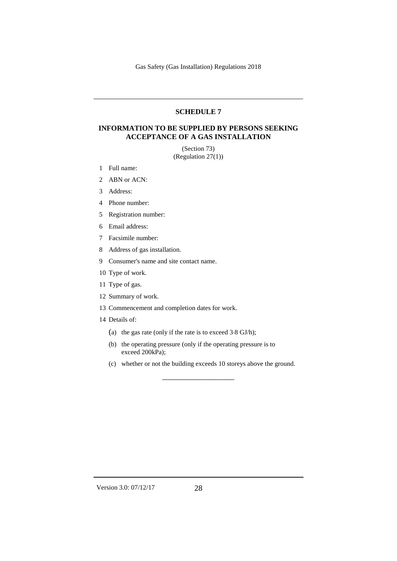#### **SCHEDULE 7**

### **INFORMATION TO BE SUPPLIED BY PERSONS SEEKING ACCEPTANCE OF A GAS INSTALLATION**

(Section 73) (Regulation 27(1))

- 1 Full name:
- 2 ABN or ACN:
- 3 Address:
- 4 Phone number:
- 5 Registration number:
- 6 Email address:
- 7 Facsimile number:
- 8 Address of gas installation.
- 9 Consumer's name and site contact name.
- 10 Type of work.
- 11 Type of gas.
- 12 Summary of work.
- 13 Commencement and completion dates for work.
- 14 Details of:
	- (a) the gas rate (only if the rate is to exceed 3⋅8 GJ/h);
	- (b) the operating pressure (only if the operating pressure is to exceed 200kPa);
	- (c) whether or not the building exceeds 10 storeys above the ground.

\_\_\_\_\_\_\_\_\_\_\_\_\_\_\_\_\_\_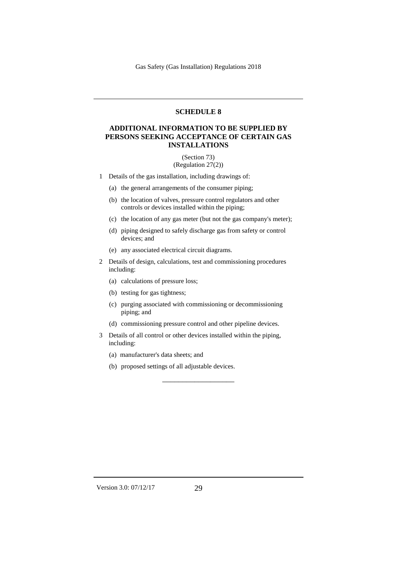#### **SCHEDULE 8**

#### **ADDITIONAL INFORMATION TO BE SUPPLIED BY PERSONS SEEKING ACCEPTANCE OF CERTAIN GAS INSTALLATIONS**

#### (Section 73) (Regulation 27(2))

- 1 Details of the gas installation, including drawings of:
	- (a) the general arrangements of the consumer piping;
	- (b) the location of valves, pressure control regulators and other controls or devices installed within the piping;
	- (c) the location of any gas meter (but not the gas company's meter);
	- (d) piping designed to safely discharge gas from safety or control devices; and
	- (e) any associated electrical circuit diagrams.
- 2 Details of design, calculations, test and commissioning procedures including:
	- (a) calculations of pressure loss;
	- (b) testing for gas tightness;
	- (c) purging associated with commissioning or decommissioning piping; and
	- (d) commissioning pressure control and other pipeline devices.

 $\overline{\phantom{a}}$  , where  $\overline{\phantom{a}}$ 

- 3 Details of all control or other devices installed within the piping, including:
	- (a) manufacturer's data sheets; and
	- (b) proposed settings of all adjustable devices.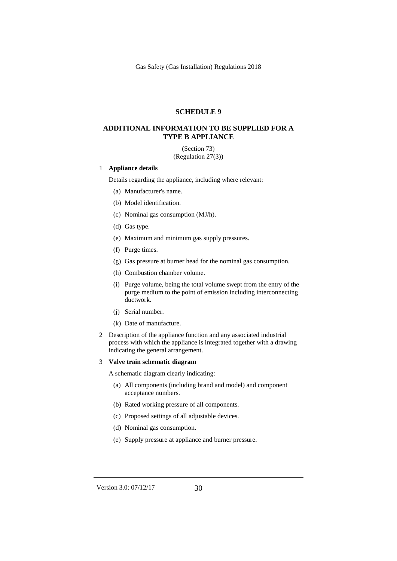#### **SCHEDULE 9**

### **ADDITIONAL INFORMATION TO BE SUPPLIED FOR A TYPE B APPLIANCE**

(Section 73) (Regulation 27(3))

#### 1 **Appliance details**

Details regarding the appliance, including where relevant:

- (a) Manufacturer's name.
- (b) Model identification.
- (c) Nominal gas consumption (MJ/h).
- (d) Gas type.
- (e) Maximum and minimum gas supply pressures.
- (f) Purge times.
- (g) Gas pressure at burner head for the nominal gas consumption.
- (h) Combustion chamber volume.
- (i) Purge volume, being the total volume swept from the entry of the purge medium to the point of emission including interconnecting ductwork.
- (j) Serial number.
- (k) Date of manufacture.
- 2 Description of the appliance function and any associated industrial process with which the appliance is integrated together with a drawing indicating the general arrangement.

#### 3 **Valve train schematic diagram**

A schematic diagram clearly indicating:

- (a) All components (including brand and model) and component acceptance numbers.
- (b) Rated working pressure of all components.
- (c) Proposed settings of all adjustable devices.
- (d) Nominal gas consumption.
- (e) Supply pressure at appliance and burner pressure.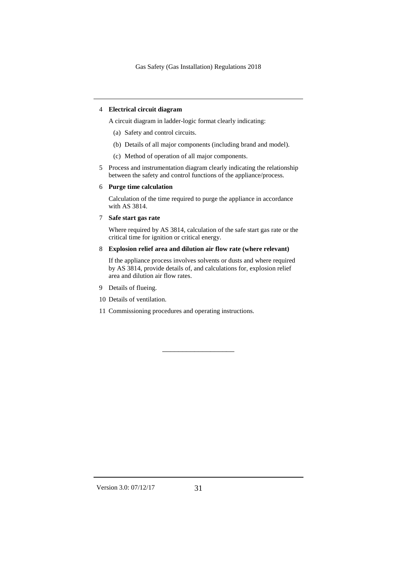#### 4 **Electrical circuit diagram**

A circuit diagram in ladder-logic format clearly indicating:

- (a) Safety and control circuits.
- (b) Details of all major components (including brand and model).
- (c) Method of operation of all major components.
- 5 Process and instrumentation diagram clearly indicating the relationship between the safety and control functions of the appliance/process.
- 6 **Purge time calculation**

Calculation of the time required to purge the appliance in accordance with AS 3814.

7 **Safe start gas rate**

Where required by AS 3814, calculation of the safe start gas rate or the critical time for ignition or critical energy.

#### 8 **Explosion relief area and dilution air flow rate (where relevant)**

If the appliance process involves solvents or dusts and where required by AS 3814, provide details of, and calculations for, explosion relief area and dilution air flow rates.

 $\overline{\phantom{a}}$  , where  $\overline{\phantom{a}}$ 

- 9 Details of flueing.
- 10 Details of ventilation.
- 11 Commissioning procedures and operating instructions.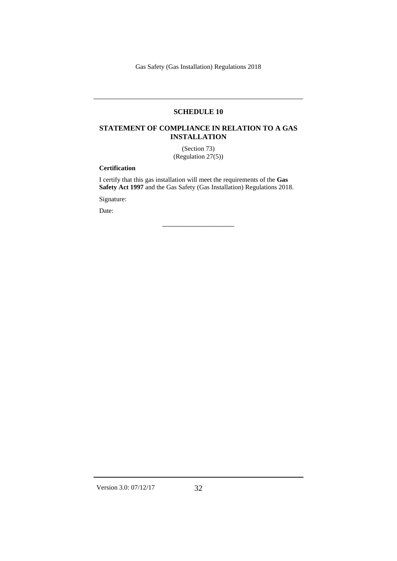### **SCHEDULE 10**

### **STATEMENT OF COMPLIANCE IN RELATION TO A GAS INSTALLATION**

(Section 73) (Regulation 27(5))

#### **Certification**

I certify that this gas installation will meet the requirements of the **Gas Safety Act 1997** and the Gas Safety (Gas Installation) Regulations 2018.

 $\overline{\phantom{a}}$  , where  $\overline{\phantom{a}}$ 

Signature:

Date: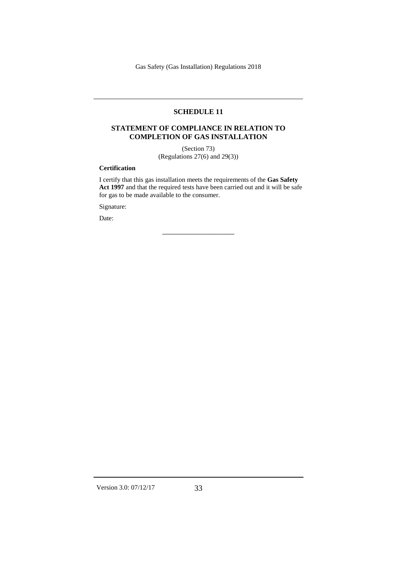## **SCHEDULE 11**

#### **STATEMENT OF COMPLIANCE IN RELATION TO COMPLETION OF GAS INSTALLATION**

(Section 73) (Regulations 27(6) and 29(3))

#### **Certification**

I certify that this gas installation meets the requirements of the **Gas Safety Act 1997** and that the required tests have been carried out and it will be safe for gas to be made available to the consumer.

 $\overline{\phantom{a}}$  , where  $\overline{\phantom{a}}$ 

Signature:

Date: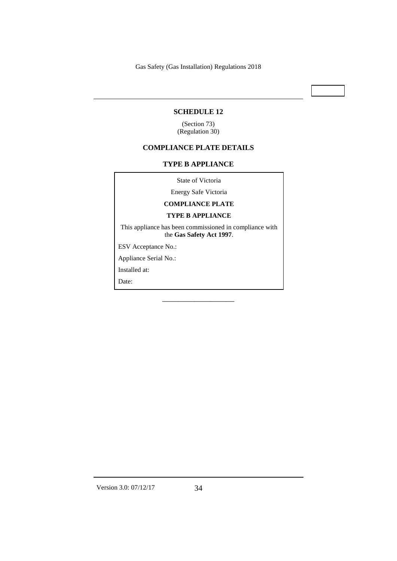#### **SCHEDULE 12**

(Section 73) (Regulation 30)

#### **COMPLIANCE PLATE DETAILS**

### **TYPE B APPLIANCE**

State of Victoria

Energy Safe Victoria

#### **COMPLIANCE PLATE**

#### **TYPE B APPLIANCE**

This appliance has been commissioned in compliance with the **Gas Safety Act 1997**.

 $\overline{\phantom{a}}$  , where  $\overline{\phantom{a}}$ 

ESV Acceptance No.:

Appliance Serial No.:

Installed at:

Date: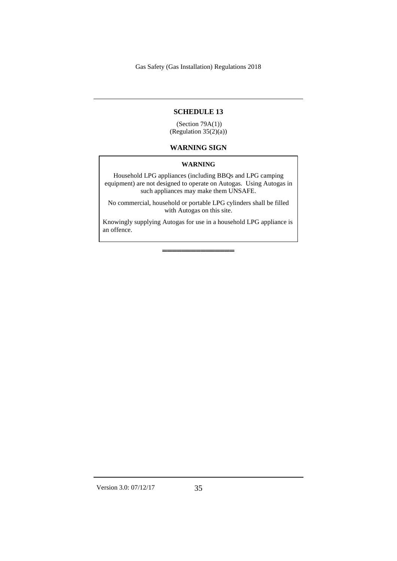#### **SCHEDULE 13**

(Section 79A(1)) (Regulation 35(2)(a))

### **WARNING SIGN**

#### **WARNING**

Household LPG appliances (including BBQs and LPG camping equipment) are not designed to operate on Autogas. Using Autogas in such appliances may make them UNSAFE.

No commercial, household or portable LPG cylinders shall be filled with Autogas on this site.

Knowingly supplying Autogas for use in a household LPG appliance is an offence.

═══════════════

Version 3.0: 07/12/17 35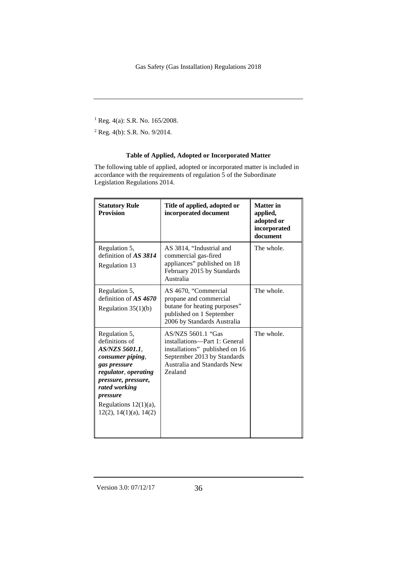<sup>1</sup> Reg. 4(a): S.R. No. 165/2008.

<sup>2</sup> Reg. 4(b): S.R. No. 9/2014.

### **Table of Applied, Adopted or Incorporated Matter**

The following table of applied, adopted or incorporated matter is included in accordance with the requirements of regulation 5 of the Subordinate Legislation Regulations 2014.

| <b>Statutory Rule</b><br><b>Provision</b>                                                                                                                                                                                       | Title of applied, adopted or<br>incorporated document                                                                                                                 | <b>Matter</b> in<br>applied,<br>adopted or<br>incorporated<br>document |
|---------------------------------------------------------------------------------------------------------------------------------------------------------------------------------------------------------------------------------|-----------------------------------------------------------------------------------------------------------------------------------------------------------------------|------------------------------------------------------------------------|
| Regulation 5,<br>definition of AS 3814<br>Regulation 13                                                                                                                                                                         | AS 3814, "Industrial and<br>commercial gas-fired<br>appliances" published on 18<br>February 2015 by Standards<br>Australia                                            | The whole.                                                             |
| Regulation 5,<br>definition of $AS$ 4670<br>Regulation $35(1)(b)$                                                                                                                                                               | AS 4670, "Commercial<br>propane and commercial<br>butane for heating purposes"<br>published on 1 September<br>2006 by Standards Australia                             | The whole.                                                             |
| Regulation 5,<br>definitions of<br>AS/NZS 5601.1,<br>consumer piping,<br>gas pressure<br>regulator, operating<br>pressure, pressure,<br>rated working<br>pressure<br>Regulations $12(1)(a)$ ,<br>$12(2)$ , $14(1)(a)$ , $14(2)$ | AS/NZS 5601.1 "Gas<br>installations-Part 1: General<br>installations" published on 16<br>September 2013 by Standards<br>Australia and Standards New<br><b>Zealand</b> | The whole.                                                             |